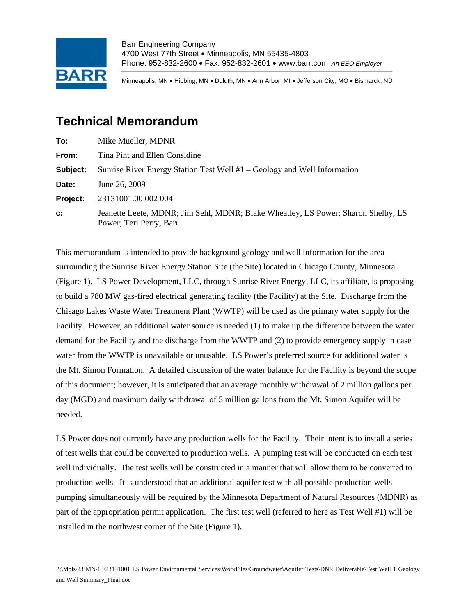

Barr Engineering Company 4700 West 77th Street • Minneapolis, MN 55435-4803 Phone: 952-832-2600 • Fax: 952-832-2601 • www.barr.com *An EEO Employer*

Minneapolis, MN • Hibbing, MN • Duluth, MN • Ann Arbor, MI • Jefferson City, MO • Bismarck, ND

## **Technical Memorandum**

| To:            | Mike Mueller, MDNR                                                                                           |
|----------------|--------------------------------------------------------------------------------------------------------------|
| From:          | Tina Pint and Ellen Considine                                                                                |
| Subject:       | Sunrise River Energy Station Test Well $#1 - \text{Geology}$ and Well Information                            |
| Date:          | June 26, 2009                                                                                                |
| Project:       | 23131001.00 002 004                                                                                          |
| $\mathbf{c}$ : | Jeanette Leete, MDNR; Jim Sehl, MDNR; Blake Wheatley, LS Power; Sharon Shelby, LS<br>Power; Teri Perry, Barr |

This memorandum is intended to provide background geology and well information for the area surrounding the Sunrise River Energy Station Site (the Site) located in Chicago County, Minnesota (Figure 1). LS Power Development, LLC, through Sunrise River Energy, LLC, its affiliate, is proposing to build a 780 MW gas-fired electrical generating facility (the Facility) at the Site. Discharge from the Chisago Lakes Waste Water Treatment Plant (WWTP) will be used as the primary water supply for the Facility. However, an additional water source is needed (1) to make up the difference between the water demand for the Facility and the discharge from the WWTP and (2) to provide emergency supply in case water from the WWTP is unavailable or unusable. LS Power's preferred source for additional water is the Mt. Simon Formation. A detailed discussion of the water balance for the Facility is beyond the scope of this document; however, it is anticipated that an average monthly withdrawal of 2 million gallons per day (MGD) and maximum daily withdrawal of 5 million gallons from the Mt. Simon Aquifer will be needed.

LS Power does not currently have any production wells for the Facility. Their intent is to install a series of test wells that could be converted to production wells. A pumping test will be conducted on each test well individually. The test wells will be constructed in a manner that will allow them to be converted to production wells. It is understood that an additional aquifer test with all possible production wells pumping simultaneously will be required by the Minnesota Department of Natural Resources (MDNR) as part of the appropriation permit application. The first test well (referred to here as Test Well #1) will be installed in the northwest corner of the Site (Figure 1).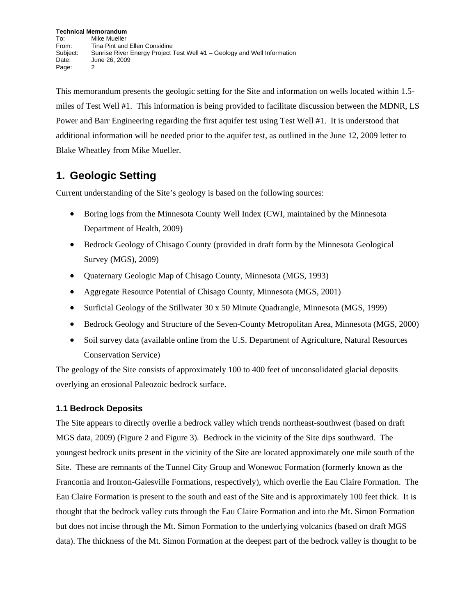This memorandum presents the geologic setting for the Site and information on wells located within 1.5 miles of Test Well #1. This information is being provided to facilitate discussion between the MDNR, LS Power and Barr Engineering regarding the first aquifer test using Test Well #1. It is understood that additional information will be needed prior to the aquifer test, as outlined in the June 12, 2009 letter to Blake Wheatley from Mike Mueller.

### **1. Geologic Setting**

Current understanding of the Site's geology is based on the following sources:

- Boring logs from the Minnesota County Well Index (CWI, maintained by the Minnesota Department of Health, 2009)
- Bedrock Geology of Chisago County (provided in draft form by the Minnesota Geological Survey (MGS), 2009)
- Quaternary Geologic Map of Chisago County, Minnesota (MGS, 1993)
- Aggregate Resource Potential of Chisago County, Minnesota (MGS, 2001)
- Surficial Geology of the Stillwater 30 x 50 Minute Quadrangle, Minnesota (MGS, 1999)
- Bedrock Geology and Structure of the Seven-County Metropolitan Area, Minnesota (MGS, 2000)
- Soil survey data (available online from the U.S. Department of Agriculture, Natural Resources Conservation Service)

The geology of the Site consists of approximately 100 to 400 feet of unconsolidated glacial deposits overlying an erosional Paleozoic bedrock surface.

#### **1.1 Bedrock Deposits**

The Site appears to directly overlie a bedrock valley which trends northeast-southwest (based on draft MGS data, 2009) (Figure 2 and Figure 3). Bedrock in the vicinity of the Site dips southward. The youngest bedrock units present in the vicinity of the Site are located approximately one mile south of the Site. These are remnants of the Tunnel City Group and Wonewoc Formation (formerly known as the Franconia and Ironton-Galesville Formations, respectively), which overlie the Eau Claire Formation. The Eau Claire Formation is present to the south and east of the Site and is approximately 100 feet thick. It is thought that the bedrock valley cuts through the Eau Claire Formation and into the Mt. Simon Formation but does not incise through the Mt. Simon Formation to the underlying volcanics (based on draft MGS data). The thickness of the Mt. Simon Formation at the deepest part of the bedrock valley is thought to be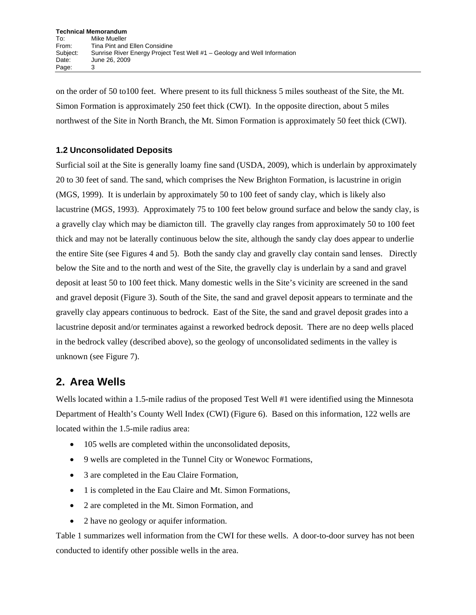on the order of 50 to100 feet. Where present to its full thickness 5 miles southeast of the Site, the Mt. Simon Formation is approximately 250 feet thick (CWI). In the opposite direction, about 5 miles northwest of the Site in North Branch, the Mt. Simon Formation is approximately 50 feet thick (CWI).

#### **1.2 Unconsolidated Deposits**

Surficial soil at the Site is generally loamy fine sand (USDA, 2009), which is underlain by approximately 20 to 30 feet of sand. The sand, which comprises the New Brighton Formation, is lacustrine in origin (MGS, 1999). It is underlain by approximately 50 to 100 feet of sandy clay, which is likely also lacustrine (MGS, 1993). Approximately 75 to 100 feet below ground surface and below the sandy clay, is a gravelly clay which may be diamicton till. The gravelly clay ranges from approximately 50 to 100 feet thick and may not be laterally continuous below the site, although the sandy clay does appear to underlie the entire Site (see Figures 4 and 5). Both the sandy clay and gravelly clay contain sand lenses. Directly below the Site and to the north and west of the Site, the gravelly clay is underlain by a sand and gravel deposit at least 50 to 100 feet thick. Many domestic wells in the Site's vicinity are screened in the sand and gravel deposit (Figure 3). South of the Site, the sand and gravel deposit appears to terminate and the gravelly clay appears continuous to bedrock. East of the Site, the sand and gravel deposit grades into a lacustrine deposit and/or terminates against a reworked bedrock deposit. There are no deep wells placed in the bedrock valley (described above), so the geology of unconsolidated sediments in the valley is unknown (see Figure 7).

### **2. Area Wells**

Wells located within a 1.5-mile radius of the proposed Test Well #1 were identified using the Minnesota Department of Health's County Well Index (CWI) (Figure 6). Based on this information, 122 wells are located within the 1.5-mile radius area:

- 105 wells are completed within the unconsolidated deposits,
- 9 wells are completed in the Tunnel City or Wonewoc Formations,
- 3 are completed in the Eau Claire Formation,
- 1 is completed in the Eau Claire and Mt. Simon Formations,
- 2 are completed in the Mt. Simon Formation, and
- 2 have no geology or aquifer information.

Table 1 summarizes well information from the CWI for these wells. A door-to-door survey has not been conducted to identify other possible wells in the area.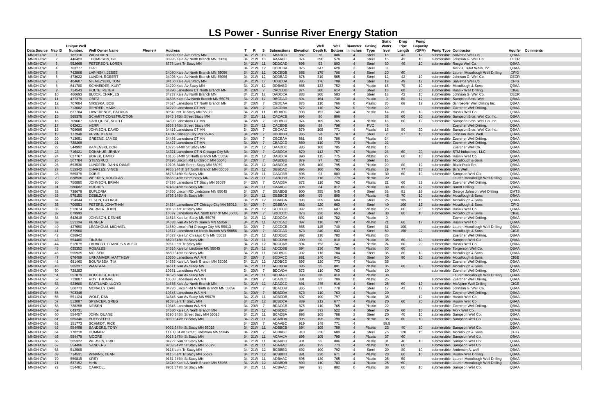|                      |                                                     |                    |                                          |         |                                                                              |                     |                |                                |            |            |               |                                  |                              | <b>Static</b>  | Drop     | <b>Pump</b>           |                                                                |                                             |                     |
|----------------------|-----------------------------------------------------|--------------------|------------------------------------------|---------|------------------------------------------------------------------------------|---------------------|----------------|--------------------------------|------------|------------|---------------|----------------------------------|------------------------------|----------------|----------|-----------------------|----------------------------------------------------------------|---------------------------------------------|---------------------|
|                      |                                                     | <b>Unique Well</b> |                                          |         |                                                                              |                     |                |                                |            | Well       | Well          | Diameter Casing                  |                              | Water          | Pipe     | Capacity              |                                                                |                                             |                     |
| Data Source Map ID   |                                                     | Number.            | <b>Well Owner Name</b>                   | Phone # | Address                                                                      | T.<br>- R           | -S             | <b>Subsections Elevation</b>   |            | Depth ft.  | <b>Bottom</b> | in inches                        | Type                         | level          | Length   | (GPM)                 | <b>Pump Type Contractor</b>                                    |                                             | Comments<br>Aquifer |
| MNDH-CWI<br>MNDH-CWI |                                                     | 182116<br>446423   | <b>WICKOREN</b><br><b>THOMPSON, GIL</b>  |         | 33850 Kale Ave Stacy MN<br>33995 Kale Av North Branch MN 55056               | 34 21W<br>34 21W 13 | 13             | ABADCD<br>AAAABC               | 882<br>874 | 76<br>296  | 806<br>578    | -4                               | <b>Steel</b><br><b>Steel</b> | 18<br>15       | 42<br>42 | 12<br>10              | submersible Salverda Well Co                                   |                                             | QBAA<br><b>CECR</b> |
| MNDH-CWI             | $\overline{\phantom{a}}$<br>$\overline{\mathbf{3}}$ | 552668             | PETERSON, LOREN                          |         | 8778 Lent Tr Stacy MN                                                        | 34 21W              | 11             | <b>DDDCAD</b>                  | 895        | 92         | 803           | $\overline{4}$                   | <b>Steel</b>                 | 30             | 49       | 10 <sup>°</sup>       | submersible Johnson G. Well Co.<br>submersible Rosga Well Co.  |                                             | QBAA                |
| MNDH-CWI             | $\overline{4}$                                      | 763777             | $CR-1$                                   |         |                                                                              | 34 21W 12           |                | <b>CDDCBA</b>                  | 875        | 247        | 628           | 2                                | <b>Steel</b>                 | -8             |          |                       |                                                                | Mark J. Traut Wells, Inc.                   | QBAA                |
| MNDH-CWI             | - 5                                                 | 742806             | <b>LAPINSKI. JESSE</b>                   |         | 34080 Kale Av North Branch MN 55056                                          | 34 21W              | -12            | <b>DDCBDB</b>                  | 885        | 179        | 706           | $\overline{4}$                   | <b>Steel</b>                 | 20             | 60       |                       |                                                                | submersible Lauren Mccullough Well Drilling | <b>CFIG</b>         |
| MNDH-CWI             | - 6                                                 | 473022             | LUNDIN, ROBERT                           |         | 34095 Kale Av North Branch MN 55056                                          | 34 21W              | 12             | <b>DDDBAD</b>                  | 875        | 310        | 565           | 4                                | <b>Steel</b>                 | 12             | 42       | 10                    | submersible Johnson G. Well Co.                                |                                             | <b>CECR</b>         |
| MNDH-CWI             |                                                     | 404607             | NIEMEZYEKI, TOM                          |         | 34150 Kale Ave Stacy MN                                                      | 34 21W              | -12            | <b>DDBCDA</b>                  | 885        | 176        | 709           | $\overline{4}$                   | <b>Steel</b>                 | 19             | 49       | 12                    | submersible Salverda Well Co                                   |                                             | <b>CFIG</b>         |
| MNDH-CWI             | - 8                                                 | 641780             | <b>SCHNEIDER, KURT</b>                   |         | 34220 Kale Av Stacy MN                                                       | 34 21W              | - 12           | <b>DDBABD</b>                  | 885        | 133        | 752           | -4                               | Plastic                      | 15             | 70       | 10                    | submersible Mccullough & Sons                                  |                                             | QBAA                |
| <b>MNDH-CWI</b>      | -9                                                  | 714543             | <b>HOLTE, PETER</b>                      |         | 34290 Lanesboro CT North Branch MN                                           | 34 20W              | - 7            | CACCDD                         | 874        | 260        | 614           | $\overline{4}$                   | <b>Steel</b>                 | 13             | 60       | 20                    | submersible Husnik Well Drilling                               |                                             | <b>CIGE</b>         |
| MNDH-CWI             | 10                                                  | 460693             | <b>BLOCK, CHARLES</b>                    |         | 34237 Kale Av North Branch MN                                                | 34 21W              | 12             | <b>DADCCA</b>                  | 883        | 300        | 583           | -4                               | <b>Steel</b>                 | 18             | 42       | 10                    | submersible Johnson G. Well Co.                                |                                             | <b>CECR</b>         |
| <b>MNDH-CWI</b>      | 11                                                  | 477379             | <b>OBITZ</b>                             |         | 34835 Kable Av North Branch MN 55079                                         | 34 21W              | 12             | <b>DBCDAD</b>                  | 894        | 164        | 730           | $\overline{4}$                   | Plastic                      | $\Omega$       | 80       | 12 <sup>2</sup>       | submersible Sampson Bros. Well                                 |                                             | QBAA                |
| MNDH-CWI             | 12                                                  | 707084             | MIKESKA, BOB                             |         | 34524 Lanesboro CT North Branch MN                                           | 34 20W              |                | CBDCAA                         | 876        | 110        | 766           | $\Omega$                         | Plastic                      | 35             | 66       | 12                    |                                                                | submersible Schroepfer Well Drilling Inc.   | QBAA                |
| MNDH-CWI             | 13                                                  | 713082             | <b>REHDER, MARK</b>                      |         | 34270 Lanesboro CT MN                                                        | 34 20W              | $\overline{7}$ | <b>CACDBA</b>                  | 872        | 110        | 762           | $\Omega$                         | Plastic                      | 20             |          |                       | submersible Zuercher Well Driiling                             |                                             | QBAA                |
| MNDH-CWI             | 14                                                  | 627784             | LAWERENCE, PATRICK                       |         | 8954 Lent Tr Stacy MN 55079                                                  | 34 21W 11           |                | <b>DBDADC</b>                  | 893        | 153        | 740           | 4                                | Plastic                      | 14             | 80       | 10                    | submersible Husnik Well Co.                                    |                                             | QBAA                |
| MNDH-CWI             | 15                                                  | 565378             | <b>SCHMITT CONSTRUCTION</b>              |         | 8645 345th Street Stacy MN                                                   | 34 21W 11           |                | CACACB                         | 896        | 90         | 806           | $\overline{4}$                   |                              | 38             | 60       | 10 <sup>°</sup>       |                                                                | submersible Sampson Bros. Well Co. Inc.     | QBAA                |
| MNDH-CWI             | 16                                                  | 709667             | DAHLQUIST, SCOTT                         |         | 34390 Lanesboro CT MN                                                        | 34 20W              | - 7            | <b>CBDBCD</b>                  | 874        | 109        | 765           | $\overline{4}$                   | Plastic                      | 16             | 60       | 12                    |                                                                | submersible Sampson Bros. Well Co. Inc.     | QBAA                |
| MNDH-CWI             | 17                                                  | 642621             | <b>HERR</b>                              |         | 8563 345th Street Stacy MN                                                   | 34 21W 11           |                | CACBDB                         | 896        | 98         | 798           | $\overline{4}$                   | <b>PVC</b>                   | 45             |          |                       |                                                                | Zuercher Well Driiling                      | QBAA                |
| MNDH-CWI             | 18                                                  | 709696             | JOHNSON, DAVID                           |         | 34416 Lanesboro CT MN                                                        | 34 20W              |                | CBCAAC                         | 879        | 108        | 771           | $\overline{a}$                   | Plastic                      | 18             | 80       | 20                    |                                                                | submersible Sampson Bros. Well Co. Inc.     | QBAA                |
| MNDH-CWI             | 19                                                  | 177948             | <b>KEVIN, KEVIN</b>                      |         | 14 CR Chisago City MN 55045                                                  | 34 20W              | $\overline{7}$ | <b>DBDBBB</b>                  | 885        | 98         | 787           | $\overline{4}$                   | <b>Steel</b>                 | $\overline{2}$ | 27       | 10                    | submersible Johnson Bros. Well                                 |                                             | QBAA                |
| MNDH-CWI             | 20                                                  | 713051             | <b>GREENE, JAMES</b>                     |         | 34456 Lanesboro CT MN                                                        | 34 20W              | $\overline{7}$ | CBCBAA                         | 881        | 95         | 786           | $\Omega$                         | Plastic                      | 24             |          |                       | submersible Zuercher Well Driilina                             |                                             | QBAA                |
| <b>MNDH-CWI</b>      | 21                                                  | 728268             |                                          |         | 34427 Lanesboro CT MN                                                        | 34 20W              | $\overline{7}$ | <b>CBACCD</b>                  | 880        | 110        | 770<br>785    | $\overline{4}$<br>$\mathbf{A}$   | Plastic                      | 22<br>15       |          |                       | submersible Zuercher Well Driiling                             |                                             | QBAA                |
| MNDH-CWI             | 22<br>23                                            | 544992             | KAMENSKI, DON                            |         | 10275 344th St Stacy MN                                                      | 34 21W 12           | - 7            | DAADDC                         | 885        | 100        |               |                                  | Plastic                      | 28             |          |                       |                                                                | Zuercher Well Co.                           | QBAA                |
| MNDH-CWI<br>MNDH-CWI | 24                                                  | 716421<br>627767   | DONAHUE, JENNY<br>BOREK, DAVID           |         | 34321 Lanesboro CT N Chisago City MN<br>10155 344th St North Branch MN 55056 | 34 20W<br>34 21W 12 |                | CABCCA<br><b>DABDCA</b>        | 870<br>890 | 113<br>115 | 757<br>775    | 4                                | Plastic<br>Plastic           | 27             | 60<br>60 | 20<br>10              | submersible STM Industries, LLC<br>submersible Husnik Well Co. |                                             | QBAA<br>QBAA        |
| MNDH-CWI             | 25                                                  | 507784             | <b>STENSRUD</b>                          |         | 34295 Lincoln Rd Lindstrom MN 55045                                          | 34 20W              | - 7            | <b>DABDBD</b>                  | 879        | 97         | 782           | $\overline{4}$                   | <b>Steel</b>                 | 15             |          |                       | submersible Mccullough & Sons                                  |                                             | QBAA                |
| MNDH-CWI             | 26                                                  | 693536             | LUNDEEN. DAN & DIANE                     |         | 10105 344th Street Stacy MN 55079                                            | 34 21W 12           |                | <b>DABCCA</b>                  | 895        | 100        | 795           | -4                               | Plastic                      | 20             | 80       | $12 \overline{ }$     | submersible Black Rock Ent.                                    |                                             | QBAA                |
| MNDH-CWI             | 27                                                  | 515342             | CHARLES, VINCE                           |         | 9865 344 th ST North Branch MN 55056                                         | 34 21W              | -12            | <b>DBBDAC</b>                  | 895        | 100        | 795           | $\overline{4}$                   | Plastic                      | 29             | 77       | 10 <sup>°</sup>       | submersible Bill's Well                                        |                                             | QBAA                |
| MNDH-CWI             | 28                                                  | 565379             | <b>DOBIE</b>                             |         | 8675 345th St Stacy MN                                                       | 34 21W 11           |                | <b>CAACBB</b>                  | 896        | 93         | 803           | -4                               | Plastic                      | 30             | 60       | 10                    | submersible Sampson Well Co.                                   |                                             | QBAA                |
| MNDH-CWI             | 29                                                  | 638936             | <b>WEEKES, DOUGLAS</b>                   |         | 8535 345th Steet Stacy MN                                                    | 34 21W              | $-11$          | <b>CABCBB</b>                  | 895        | 116        | 779           | $\overline{4}$                   | Plastic                      | 20             |          |                       |                                                                | Lauren Mccullough Well Drilling             | QBAA                |
| MNDH-CWI             | 30                                                  | 750880             | <b>JOHNSON, BRIAN</b>                    |         | 34295 Lanesboro CT Stacy MN 55079                                            | 34 20W              |                | CAACBA                         | 872        | 110        | 762           | -4                               | Plastic                      | 21             | 60       | 22                    | submersible Zuercher Well Driiling.                            |                                             | QBAA                |
| MNDH-CWI             | 31                                                  | 586082             | <b>HUGHES</b>                            |         | 8743 345th St Stacy MN                                                       | 34 21W              | 11             | CAAACC                         | 896        | 84         | 812           | $\overline{4}$                   | Plastic                      | 30             | 60       | 12                    | submersible Barott Drilling                                    |                                             | QBAA                |
| MNDH-CWI             | 32                                                  | 738679             | <b>EUFLORIA</b>                          |         | 34356 Lincoln RD Lindstrom MN 55045                                          | 34 20W              |                | <b>DBABDB</b>                  | 900        | 355        | 545           | 4                                | <b>Steel</b>                 | 38             | 81       | 18                    |                                                                | submersible George Johnson Well Drilling    | <b>CMTS</b>         |
| <b>MNDH-CWI</b>      | 33                                                  | 575150             | <b>DEBILZAN</b>                          |         | 8795 345th St Stacy MN                                                       | 34 21W              | - 11           | <b>DBBBCB</b>                  | 895        | 95         | 800           | $\overline{4}$                   | Plastic                      | 45             | 70       | 10                    | submersible Mccullough & Sons                                  |                                             | QBAA                |
| MNDH-CWI             | 34                                                  | 154344             | OLSON, GEORGE                            |         |                                                                              | 34 21W              | - 12           | <b>DBABBA</b>                  | 893        | 209        | 684           | 4                                | <b>Steel</b>                 | 25             | 105      | 15                    | submersible Mccullough & Sons                                  |                                             | QBAA                |
| MNDH-CWI             | 35                                                  | 700553             | PETERS, JONATHAN                         |         | 34524 Lanesboro CT Chisago City MN 55013                                     | 34 20W              |                | CBBBAA                         | 883        | 220        | 663           |                                  | <b>Steel</b>                 | 40             | 100      | 12                    | submersible Mccullough & Sons                                  |                                             | <b>CFIG</b>         |
| MNDH-CWI             | 36                                                  | 512074             | WERNER, JOHN                             |         | 9015 Lent Tr Stacy MN                                                        | 34 21W              | -12            | <b>BCCCCD</b>                  | 892        | 205        | 687           | $\mathbf{A}$                     | Plastic                      | 23             | 60       | 20                    | submersible Husnik Well Co.                                    |                                             | QBAA                |
| MNDH-CWI             | 37                                                  | 679993             |                                          |         | 10597 Lanesboro WA North Branch MN 55056                                     | 34 20W              |                | <b>BDCCCC</b>                  | 873        | 220        | 653           | $\overline{4}$                   | <b>Steel</b>                 | 30             | 80       | 10 <sup>°</sup>       | submersible Mccullough & Sons                                  |                                             | <b>CIGE</b>         |
| MNDH-CWI             | 38                                                  | 642618             | JOHNSON, DENNIS                          |         | 34518 Kale Ln Stacy MN 55079                                                 | 34 21W              | 12             | <b>ADDCCA</b>                  | 892        | 110        | 782           | 4                                | Plastic                      | - 0            |          |                       |                                                                | Zuercher Well Driiling                      | QBAA                |
| MNDH-CWI             | 39                                                  | 551134             | <b>PENNER</b>                            |         | 34533 Ivan Av North Branch MN 55056                                          | 34 21W              | 11             | <b>ACCCAD</b>                  | 897        | 110        | 787           |                                  | Plastic                      | 21             | 60       | 12 <sup>2</sup>       | submersible Husnik Well Co.                                    |                                             | QBAA                |
| MNDH-CWI             | 40                                                  | 427650             | LEADHOLM, MICHAEL                        |         | 34550 Lincoln Rd Chisago City MN 55013                                       | 34 20W              | - 7            | <b>ACCDCB</b>                  | 885        | 145        | 740           | 4                                | <b>Steel</b>                 | -31            | 100      |                       |                                                                | submersible Lauren Mccullough Well Drilling | QBAA                |
| MNDH-CWI             | 41                                                  | 679960             |                                          |         | 10617 Lanesboro LA North Branch MN 55056                                     | 34 20W              | $\overline{7}$ | <b>BDCCAD</b>                  | 873        | 240        | 633           | $\overline{4}$                   | <b>Steel</b>                 | 50             | 150      | 22                    | submersible Mccullough & Sons                                  |                                             | <b>CIGE</b>         |
| MNDH-CWI             | 42<br>43                                            | 626942<br>554480   | <b>MULNIT</b>                            |         | 34523 Kale Ln Chisago City MN 55013<br>8620 345th St Stacy MN                | 34 21W 12           | 11             | ADDDBC                         | 892        | 110<br>90  | 782<br>810    | $\overline{a}$<br>$\overline{4}$ | Plastic                      | 35<br>35       |          |                       | submersible Sampson Well Co.                                   | Zuercher Well Driiling.                     | QBAA<br>QBAA        |
| MNDH-CWI<br>MNDH-CWI | 44                                                  | 512079             | LAUACOT, FRANCIS & ALECI                 |         | 9061 Lent Tr Stacy MN                                                        | 34 21W<br>34 21W    | 12             | <b>BDCDBA</b><br><b>BCCDAB</b> | 900<br>894 | 153        | 741           | 4                                | Plastic<br>Plastic           | -24            | 60<br>60 | 10 <sup>°</sup><br>20 | submersible Husnik Well Co.                                    |                                             | QBAA                |
| MNDH-CWI             | 45                                                  | 635352             | <b>ROSALES</b>                           |         | 34616 Kale Ln Lindtrom MN 55045                                              | 34 21W              | 12             | <b>ADCDBB</b>                  | 894        | 136        | 758           | $\overline{4}$                   | Plastic                      | 30             | 60       |                       | submersible Torgerson Well Co.                                 |                                             | QBAA                |
| MNDH-CWI             | 46                                                  | 555925             | <b>MOLSEN</b>                            |         | 8680 345th St Stacy MN                                                       | 34 21W              | - 11           | <b>BDDBCC</b>                  | 902        | 118        | 784           | 4                                | Steel                        | 35             | 80       | 10                    | submersible Mccullough & Sons                                  |                                             | QBAA                |
| <b>MNDH-CWI</b>      | 47                                                  | 676489             | URHAMMER, MATTHEW                        |         | 10560 Lanesboro WA MN                                                        | 34 20W              |                | <b>BCDACC</b>                  | 881        | 240        | 641           |                                  | <b>Steel</b>                 | 50             | 90       | 10 <sup>1</sup>       | submersible Mccullough & Sons                                  |                                             | <b>CIGE</b>         |
| MNDH-CWI             | 48                                                  | 681460             | <b>BOURASSA, TIM</b>                     |         | 34585 Kale LA North Branch MN 55056                                          | 34 21W 12           |                | ADDBCD                         | 893        | 120        | 773           |                                  | Plastic                      | 35             |          |                       | submersible Zuercher Well Driiling                             |                                             | QBAA                |
| MNDH-CWI             | 49                                                  | 565237             | WAATAJA                                  |         | 34611 Ivan Av Stacy MN                                                       | 34 21W              | 11             | <b>ACCBDA</b>                  | 896        |            | 801           |                                  |                              |                | 60       | 10                    | submersible Mccullough & Sons                                  |                                             | QBAA                |
| MNDH-CWI             | 50                                                  | 728282             |                                          |         | 10631 Lanesboro WA MN                                                        | 34 20W 7            |                | <b>BDCADA</b>                  | 873        | 110        | 763           | 4                                | Plastic                      | 10             |          |                       | submersible Zuercher Well Driiling.                            |                                             | QBAA                |
| MNDH-CWI             | 51                                                  | 557879             | KOECHER, KEITH                           |         | 34570 Ivan Av Stacy MN                                                       | 34 21W              | 11             | <b>BDDAAD</b>                  | 898        | 88         | 810           | $\overline{4}$                   | Plastic                      | 30             |          |                       |                                                                | Lauren Mccullough Well Drilling             | QBAA                |
| MNDH-CWI             | 52                                                  | 713087             | ROY, THOMAS                              |         | 10538 Lanesboro WA MN                                                        | 34 20W 7            |                | <b>BCADCC</b>                  | 881        | 92         | 789           | $\Omega$                         | Plastic                      | 25             |          |                       | submersible Zuercher Well Driiling.                            |                                             | QBAA                |
| MNDH-CWI             | 53                                                  | 623680             | EASTLUND, LLOYD                          |         | 34665 Kale Av North Branch MN                                                | 34 21W 12           |                | <b>ADACCC</b>                  | 891        | 275        | 616           | $\overline{4}$                   | <b>Steel</b>                 | 25             | 60       | 12                    | submersible McAlpine Well Drilling                             |                                             | <b>CIGE</b>         |
| MNDH-CWI             | 54                                                  | 500773             | MCNALLY, DAN                             |         | 34720 Lincoln Rd N North Branch MN 55056                                     | 34 20W              | $\overline{7}$ | <b>BDACDB</b>                  | 865        | 87         | 778           | $\overline{4}$                   | Steel                        | 17             | 42       | 12                    | submersible Johnson G. Well Co.                                |                                             | QBAA                |
| MNDH-CWI             | 55                                                  | 703348             |                                          |         | 10645 Lanesboro WA MN                                                        | 34 20W              | $\overline{7}$ | <b>BDBDDA</b>                  | 873        | 110        | 763           | $\overline{4}$                   | Plastic                      | 20             |          |                       | submersible Zuercher Well Driiling.                            |                                             | QBAA                |
| MNDH-CWI             | 56                                                  | 551124             | WOLF, DAN                                |         | 34645 Ivan Av Stacy MN 55079                                                 | 34 21W 11           |                | <b>ACBCDB</b>                  | 897        | 100        | 797           | $\overline{a}$                   | Plastic                      | 35             |          | 12 <sup>2</sup>       | submersible Husnik Well Co.                                    |                                             | QBAA                |
| MNDH-CWI             | 57                                                  | 512087             | SPENCER, GREG                            |         | 9103 Lent Tr Stacy MN                                                        | 34 21W              | 12             | <b>BCBDCA</b>                  | 889        | 212        | 677           | $\overline{4}$                   | Plastic                      | 20             | 60       | 20                    | submersible Husnik Well Co.                                    |                                             | QBAA                |
| MNDH-CWI             | -58                                                 | 728258             | <b>NEISEN</b>                            |         | 10645 Lanesboro WA MN                                                        | 34 20W              | $\overline{7}$ | <b>BDACCB</b>                  | 875        | 110        | 765           | $\overline{4}$                   | Plastic                      | 22             |          |                       | submersible Zuercher Well Driiling.                            |                                             | QBAA                |
| MNDH-CWI             | 59                                                  | 643731             |                                          |         | 34680 Kale LA North Branch MN                                                | 34 21W 12           |                | ADBDBC                         | 894        | 372        | 522           | $\overline{4}$                   | Steel                        | 29             | 60       | 15 <sup>2</sup>       | submersible Mork Well Co.                                      |                                             | <b>CEMS</b>         |
| MNDH-CWI             | 60                                                  | 554457             | JOHN, DUANE                              |         | 8390 345th Street Sacy MN 55025                                              | 34 21W 11           |                | <b>BCACBA</b>                  | 893        | 105        | 788           | -3                               | Steel                        | 20             | 40       | 10                    | submersible Sampson Well Co.                                   |                                             | QBAA                |
| MNDH-CWI             | 61<br>62                                            | 565340<br>151773   | <b>BUESSELER</b><br><b>SCHMIDT, RICK</b> |         | 8939 347th St Stacy MN                                                       | 34 21W 11           | $\overline{7}$ | <b>ACABDA</b>                  | 895        | 105<br>148 | 790<br>771    | $\overline{4}$<br>$\overline{a}$ | Plastic                      | 35<br>59.5     | 60       | 10 <sup>1</sup>       | submersible Sampson Well Co.                                   |                                             | QBAA                |
| MNDH-CWI<br>MNDH-CWI | 63                                                  | 554458             | <b>SANDERS, TONY</b>                     |         | 9063 347th St Stacy MN 55025                                                 | 34 20W<br>34 21W 11 |                | ADAABC<br><b>ADBBCB</b>        | 919<br>894 | 105        | 789           | $\overline{4}$                   | Plastic                      | 23             | 40       | 10 <sup>1</sup>       | submersible Sampson Well Co.                                   |                                             | QBAA<br>QBAA        |
| MNDH-CWI             | 64                                                  | 178218             | <b>DUMMER</b>                            |         | 11100 347th Street Lindstrom MN 55045                                        | 34 20W              | $\overline{7}$ | ADBABC                         | 910        | 230        | 680           | $\overline{4}$                   | Steel                        | 75             | 120      | 15                    | submersible Mccullough & Sons                                  |                                             | <b>CFIG</b>         |
| MNDH-CWI             | 65                                                  | 554479             | <b>MOORE</b>                             |         | 9015 347th St Stacy MN                                                       | 34 21W 11           |                | <b>ACAACA</b>                  | 895        | 105        | 790           | $\overline{4}$                   | Plastic                      | 37             | 60       |                       | submersible Sampson Well Co.                                   |                                             | QBAA                |
| MNDH-CWI             | 66                                                  | 565322             | <b>WERSEN, ERIC</b>                      |         | 34722 Ivan St Stacy MN                                                       | 34 21W 11           |                | <b>BDAABD</b>                  | 901        | 95         | 806           | $\overline{4}$                   | Plastic                      | 31             | 40       | 10                    | submersible Sampson Well Co.                                   |                                             | QBAA                |
| MNDH-CWI             | 67                                                  | 554496             | <b>SANDERS</b>                           |         | 9209 347th St Stacy MN 55079                                                 | 34 21W 11           |                | <b>ADABAC</b>                  | 895        | 122        | 773           | $\overline{4}$                   | Plastic                      | 33             | 60       |                       | submersible Sampson Well Co.                                   |                                             | QBAA                |
| MNDH-CWI             | 68                                                  | 512509             |                                          |         | 9115 Lent Tr Stacy MN                                                        | 34 21W 12           |                | <b>BCBBBD</b>                  | 892        | 100        | 792           | $\overline{4}$                   | Steel                        | 20             | 80       | 10                    | submersible Anderson A. well                                   |                                             | QBAA                |
| MNDH-CWI             | 69                                                  | 714531             | WINANS, DEAN                             |         | 9115 Lent Tr Stacy MN 55079                                                  | 34 21W 12           |                | <b>BCBBBD</b>                  | 891        | 220        | 671           | $\overline{4}$                   | Plastic                      | 20             | 60       | 10 <sup>°</sup>       | submersible Husnik Well Drilling                               |                                             | QBAA                |
| MNDH-CWI             | 70                                                  | 550815             | <b>KREY</b>                              |         | 9161 347th St Stacy MN                                                       | 34 21W 11           |                | ADBAAC                         | 895        | 130        | 765           | $\overline{a}$                   | Plastic                      | 25             | 50       |                       |                                                                | submersible Lauren Mccullough Well Drilling | QBAA                |
| MNDH-CWI             | 71                                                  | 637152             | <b>HINK</b>                              |         | 34749 Kale LA North Branch MN 55056                                          | 34 21W 12           |                | ADABDB                         | 893        | 110        | 783           | $\overline{4}$                   | Plastic                      | 25             | 60       |                       |                                                                | submersible Lauren Mccullough Well Drilling | QBAA                |
| MNDH-CWI             | 72                                                  | 554481             | CARROLI                                  |         | 8901 347th St Stacy MN                                                       | 34 21W 11           |                | ACBAAC                         | 897        | 95         | 802           | $\overline{0}$                   | Plastic                      | 38             | 60       | 10                    | submersible Sampson Well Co.                                   |                                             | QBAA                |

# **LS Power - Sunrise River Energy Station**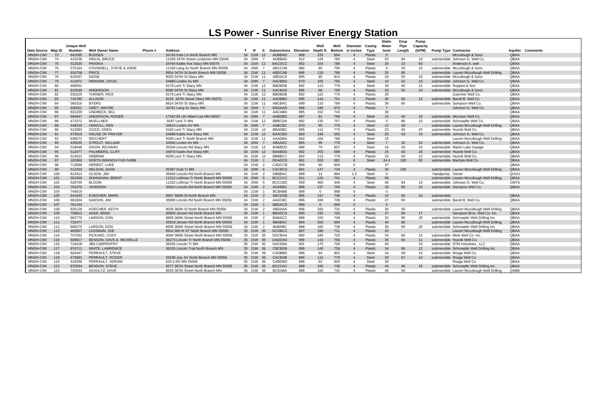# **LS Power - Sunrise River Energy Station**

| (GPM)<br>Data Source Map ID<br>Number.<br>Phone #<br><b>Address</b><br><b>Pump Type Contractor</b><br>Aquifer<br><b>Well Owner Name</b><br>T<br>R<br>-S<br>Subsections<br>Elevation<br>Depth ft<br><b>Bottom</b><br>in inches<br>Type<br>level<br>Lenath<br>Comments<br><b>BUSSEN</b><br><b>ADBBAD</b><br>34740 Kale LA North Branch MN<br>34 21W<br>664<br>$\overline{0}$<br>QBAA<br>MNDH-CWI<br>73<br>641095<br>$12 \overline{ }$<br>889<br>225<br><b>Plastic</b><br>Mccullough & Sons<br>$\overline{4}$<br>MNDH-CWI<br>74<br>415238<br><b>HEILIG, BRUCE</b><br>34 20W<br>ADBBAD<br>912<br>129<br>783<br><b>Steel</b><br>53<br>10 <sup>°</sup><br>QBAA<br>11200 347th Street Lindstrom MN 55045<br>84<br>submersible Johnson G. Well Co.<br>$\overline{4}$<br><b>BACDCC</b><br><b>MNDH-CWI</b><br>75<br>512535<br><b>PRASKA</b><br>34764 Kable Ave Stacy MN 55079<br>34 21W<br>892<br>788<br>20<br>60<br>QBAA<br>12<br>104<br><b>Steel</b><br>10 <sup>1</sup><br>Anderson A. well<br>$\overline{4}$<br><b>MNDH-CWI</b><br>76<br>575164<br>O'DONNELL, STEVE & JODIE<br>34 20W<br><b>ABCCDB</b><br>860<br>795<br>20<br>QBAA<br>11100 Lang Av North Branch MN 55056<br>65<br>Plastic<br>- 0<br>10<br>submersible Mccullough & Sons<br>$\overline{a}$<br><b>MNDH-CWI</b><br><b>PRICE</b><br><b>ABDCAB</b><br>896<br>QBAA<br>77<br>634708<br>8954 347th St North Branch MN 55056<br>34 21W<br>110<br>786<br>Plastic<br>35<br>80<br>submersible Lauren Mccullough Well Drilling<br>11<br>$\overline{4}$<br><b>GEISE</b><br><b>ABDACA</b><br>895<br>810<br>20<br>55<br>submersible Mccullough & Sons<br>QBAA<br>MNDH-CWI<br>78<br>615537<br>9020 347th St Stacy MN<br>34 21W 11<br>85<br>Plastic<br>10<br>$\overline{a}$<br><b>AACBBD</b><br><b>MNDH-CWI</b><br>79<br>412872<br><b>RENSINK, DOUG</b><br>870<br>105<br>765<br>42<br>10<br>QBAA<br>34880 Linden Av MN<br>34 20W<br>$\overline{4}$<br><b>Steel</b><br>10<br>submersible Johnson G. Well Co<br>$\overline{7}$<br><b>BBDBDB</b><br><b>MNDH-CWI</b><br>80<br>489001<br>9179 Lent Tr Stacy MN<br>34 21W<br>892<br>113<br>779<br><b>Steel</b><br>26<br>60<br>12 <sup>2</sup><br>submersible Ruppert & Son<br>QBAA<br>-12<br>$\overline{4}$<br>MNDH-CWI<br><b>ANDERSON</b><br><b>AACBAD</b><br>895<br>799<br>QBAA<br>615546<br>96<br>20<br>55<br>10<br>81<br>9080 347th St Stacy MN<br>34 21W<br>$\overline{4}$<br>Plastic<br>submersible Mccullough & Sons<br>$-11$<br><b>BBDBDB</b><br><b>MNDH-CWI</b><br>82<br>535225<br><b>TURNER, RICK</b><br>892<br>122<br>770<br>20<br>QBAA<br>34 21W 12<br>Plastic<br>Zuercher Well Co.<br>9179 Lent Tr Stacy MN<br>$\mathbf 4$<br><b>ALLISON</b><br><b>AADBBD</b><br>QBAA<br><b>MNDH-CWI</b><br>83<br>716780<br>9216 347th Street Stacy MN 55079<br>895<br>144<br>751<br>Plastic<br>30<br>60<br>12 <sup>2</sup><br>submersible Barott B. Well Co.<br>34 21W<br>$\Omega$<br>$-11$<br><b>BYERS</b><br>MNDH-CWI<br>84<br>565316<br>34 21W 11<br>ABCBAC<br>899<br>110<br>789<br>Plastic<br>36<br>60<br>submersible Sampson Well Co.<br>QBAA<br>8814 347th St Stacy MN<br>$\overline{4}$<br><b>MNDH-CWI</b><br>85<br><b>GREY, WAYNE</b><br><b>BADAAD</b><br>868<br>670<br>$\overline{7}$<br><b>QBAA</b><br>636051<br>34761 Lang Av Stacy MN<br>34 20W<br>198<br>$\overline{A}$<br>Plastic<br>Johnson G. Well Co.<br>MNDH-CWI<br>AACABA<br>30<br>86<br>631239<br>LINDBECK, BILI<br>34 21W<br>895<br>152<br>743<br>QBAA<br>$\mathbf 4$<br>- 11<br>786<br><b>MNDH-CWI</b><br>87<br>694947<br>ANDERSON, ROGER<br>17342 65 UH Albert Lea MN 56007<br>34 20W<br><b>AABDBD</b><br>867<br><b>Steel</b><br>10<br>40<br>submersible Morrison Well Co.<br>QBAA<br>$\overline{7}$<br>81<br>10<br>MNDH-CWI<br><b>MUELLNER</b><br><b>BBBCDA</b><br>892<br>88<br>471072<br>9187 Lent Tr MN<br>34 21W<br>135<br>757<br>Plastic<br>86<br>10 <sup>°</sup><br>QBAA<br>12<br>$\Omega$<br>submersible Schroepfer Well Co.<br>$\mathbf 4$<br><b>MNDH-CWI</b><br>ORWOLL, KEN<br><b>AABCBC</b><br>870<br>QBAA<br>89<br>448319<br>34914 Linden AV MN<br>34 20W<br>95<br>775<br><b>Steel</b><br>12<br>40<br>submersible Lauren Mccullough Well Drilling<br>$\overline{7}$<br>$\overline{4}$<br>GOZZI, GREG<br>885<br>60<br>25<br>MNDH-CWI<br>90<br>512093<br>9183 Lent Tr Stacy MN<br>34 21W<br><b>BBADBC</b><br>112<br>773<br>Plastic<br>23<br>submersible Husnik Well Co.<br>QBAA<br>- 12<br>$\overline{a}$<br><b>BAACBD</b><br>695<br>QBAA<br><b>MNDH-CWI</b><br><b>HOUSE OF PRAYER</b><br>893<br><b>Steel</b><br>25<br>63<br>10 <sup>°</sup><br>91<br>473019<br>34888 Kable Ave Stacy MN<br>34 21W<br>198<br>$\overline{4}$<br>submersible Johnson G. Well Co.<br>-12<br><b>MNDH-CWI</b><br>92<br>638072<br><b>REICHERT</b><br>34 21W<br>AAADBA<br>892<br>104<br>788<br><b>Steel</b><br>15<br>QBAA<br>9280 Lent Tr North Branch MN<br>Lauren Mccullough Well Drilling<br>- 11<br>$\mathbf 4$<br><b>MNDH-CWI</b><br>93<br><b>ABAADC</b><br>865<br>770<br>32<br>QBAA<br>435035<br><b>STROUT, WILLIAM</b><br>34946 Linden Av MN<br>34 20W<br>95<br><b>Steel</b><br>10<br>submersible Johnson G. Well Co.<br><b>BABBDD</b><br>807<br>MNDH-CWI<br>519048<br>DIXON, RICHARD<br>34 21W 12<br>886<br>79<br><b>Steel</b><br>16<br>40<br>10 <sup>°</sup><br>QBAA<br>94<br>35304 Lincoln Rd Stacy MN<br>submersible Martin Lake Garage<br>$\overline{4}$<br><b>MNDH-CWI</b><br>95<br>512077<br><b>PALMBERG, CLIFF</b><br><b>BAABDD</b><br>892<br>203<br>689<br>25<br>60<br>20<br>QBAA<br>34970 Kable Ave Stacy MN<br>34 21W<br>$\overline{4}$<br>Plastic<br>submersible Husnik Well Co.<br>12<br>892<br>MNDH-CWI<br>-96<br>513523<br><b>HEBRINK</b><br>9209 Lent Tr Stacy MN<br>34 21W 12<br>BBBBCC<br>113<br>779<br>Plastic<br>25<br>60<br>12 <sup>2</sup><br>submersible Husnik Well Co.<br>QBAA<br>$\overline{a}$<br>881<br>200<br>681<br>24.4<br><b>MNDH-CWI</b><br>97<br>162969<br><b>NORTH BRANCH FUR FARM</b><br><b>DDADCD</b><br><b>Steel</b><br>100<br>60<br>QBAA<br>34 21W<br>submersible Mantyla Well Co<br>$\overline{1}$<br>MNDH-CWI<br>98<br>713098<br><b>HERBST, LUKE</b><br>CADCCB<br>899<br>804<br>37<br>QBAA<br>34 21W<br>$\overline{2}$<br>95<br>$\overline{0}$<br><b>MNDH-CWI</b><br>NELSON, JOHN<br>34 20W<br><b>CACBCD</b><br>734<br>30<br>100<br>QBAA<br>99<br>512420<br>35367 Kost Tr MN<br>6<br>881<br>147<br>Plastic<br>submersible Lauren Mccullough Well Drilling<br>$\overline{4}$<br>MNDH-CWI<br><b>DBBBAC</b><br>898<br>884<br><b>Steel</b><br>QUUU<br>100<br>612914<br><b>OLSON, JIM</b><br>35690 Lincoln Rd North Branch MN<br>14<br>1.3<br>$\Omega$<br>34 21W<br>$\overline{2}$<br>Handpump Owner<br><b>MNDH-CWI</b><br>101<br>562399<br>SHANAHAN, BRENT<br>34 20W<br><b>BCCCCC</b><br>911<br>120<br>791<br>50<br>QBAA<br>11312 Loftman Tr North Branch MN 55056<br>5<br>$\overline{4}$<br>Plastic<br>submersible Lauren Mccullough Well Drilling<br>102<br><b>BLOOM</b><br><b>BCCCBD</b><br>909<br>449<br><b>CMTS</b><br><b>MNDH-CWI</b><br>528700<br>11332 Loftman Tr North Branch MN 55056<br>34 20W<br>460<br>Steel<br>46<br>84<br>10<br>submersible Johnson G. Well Co.<br>-5<br>$\overline{a}$<br>103<br><b>JOHNSON</b><br><b>ADABBC</b><br>896<br>759<br>33<br>60<br>10 <sup>1</sup><br>QBAA<br><b>MNDH-CWI</b><br>702270<br>34 21W<br>$\overline{2}$<br>137<br>$\overline{4}$<br>submersible Sampson Well Co.<br>35824 Lincoln Rd North Branch MN 55056<br>Plastic<br>MNDH-CWI<br>104<br>744019<br>34 21W<br><b>BCBABB</b><br>889<br>889<br>$\Omega$<br>$\Omega$<br><b>ABCDDB</b><br><b>QBAA</b><br><b>MNDH-CWI</b><br>105<br>641840<br><b>KOECHER, MARK</b><br>8907 360th St North Branch MN<br>34 21W<br>895<br>748<br>60<br>147<br>$\overline{4}$<br>Plastic<br>10 <sup>1</sup><br>submersible<br>$\overline{2}$<br>10<br><b>AADCBC</b><br>MNDH-CWI<br>106<br><b>GAIOVIK, JIM</b><br>34 21W<br>896<br>160<br>736<br>27<br>60<br><b>OBAA</b><br>681834<br>35880 Lincoln Rd North Branch MN 55056<br>Plastic<br>submersible Barott B. Well Co.<br>$\overline{2}$<br>$\mathbf 4$<br><b>BBDACD</b><br><b>MNDH-CWI</b><br>107<br>761193<br>34 21W<br>889<br>$\Omega$<br>889<br>$\Omega$<br>$\Omega$<br>108<br>KOECHER, KEITH<br>34 21W<br>ABDAAA<br>896<br>165<br>731<br>30<br>50<br>QBAA<br>MNDH-CWI<br>625128<br>9035 360th St North Branch MN 55056<br>$\overline{\phantom{0}}$<br>Plastic<br>submersible Lauren Mccullough Well Drilling<br>$\overline{a}$<br>109<br>AKER, BRAD<br>703<br>37<br>QBAA<br><b>MNDH-CWI</b><br>709812<br>35803 Jensen Rd North Branch MN<br>34 21W<br><b>BBADCD</b><br>895<br>192<br>$\overline{4}$<br>Plastic<br>80<br>17<br>Sampson Bros. Well Co. Inc.<br><b>BABACC</b><br>MNDH-CWI<br>110<br>662770<br>LARSON, DON<br>8605 360th Street North Branch MN 55056<br>34 21W<br>898<br>150<br>748<br>Plastic<br>32<br>90<br>20<br>submersible Schroepfer Well Drilling Inc.<br>QBAA<br>$\overline{2}$<br>$\overline{4}$<br>694<br><b>MNDH-CWI</b><br>111<br>733477<br>35919 Jensen Rd North Branch MN 55056<br>34 21W<br><b>BBABAC</b><br>894<br>200<br>80<br>submersible Lauren Mccullough Well Drilling<br>QBAA<br>$\overline{4}$<br>Plastic<br>40<br><b>MNDH-CWI</b><br>112<br>698275<br>LARSON, DON<br>34 21W<br><b>BABABC</b><br>898<br>160<br>738<br>30<br>80<br>20<br>QBAA<br>8605 360th Street North Branch MN 55056<br>- 2<br>Plastic<br>submersible Schroepfer Well Drilling Inc.<br>$\mathbf 4$<br>MNDH-CWI<br>465957<br>LESSMAN, JOE<br><b>DCDBCC</b><br>897<br>QBAA<br>113<br>8914 360 th ST North Branch MN 55056<br>35 21W 35<br>186<br>711<br>Plastic<br>-20<br>Lauren Mccullough Well Drilling<br>$\overline{4}$<br>MNDH-CWI<br>114<br>747202<br>PICKARD, CODY<br>35 21W 35<br><b>DDCBAA</b><br>900<br>180<br>720<br>Plastic<br>34<br>60<br>submersible Mork Well Co. Inc.<br>QBAA<br>9084 360th Street North Branch MN 55056<br>$\overline{4}$<br>15<br><b>DADDAD</b><br>756<br>QBAA<br><b>MNDH-CWI</b><br>115<br><b>BENSON, DAVE &amp; MICHELLE</b><br>899<br>35<br>60<br>12<br>609617<br>36273 Lincoln Tr North Branch MN 55056<br>35 21W<br>35<br>143<br>$\overline{A}$<br>Plastic<br>submersible Husnik Well Co<br><b>JBS CARPENTRY</b><br><b>DACDBA</b><br><b>MNDH-CWI</b><br>116<br>716418<br>36330 Lincoln Tr MN<br>35 21W 35<br>901<br>175<br>726<br>Plastic<br>40<br>10<br>submersible STM Industries . LLC<br>QBAA<br>$\mathbf 4$<br><b>CBCBDB</b><br>899<br>759<br>66<br><b>MNDH-CWI</b><br>117<br>674711<br><b>WHITE, LAWRENCE</b><br>36329 Lincoln Trail North Branch MN<br>35 21W<br>140<br>Plastic<br>34<br>12<br>submersible Schroepfer Well Drilling Inc.<br>QBAA<br>- 36<br>CADBBD<br>MNDH-CWI<br>118<br>PERRAULT, STEVE<br>35 21W 36<br>896<br>802<br>Steel<br>69<br>10 <sup>1</sup><br>QBAA<br>620447<br>94<br>34<br>submersible Rosga Well Co.<br>$\mathbf 4$<br><b>CACBAB</b><br>QBAA<br><b>MNDH-CWI</b><br>119<br>473681<br>PERRAULT, ROGER<br>36338 July AV North Branch MN 55056<br>35 21W<br>894<br>115<br>779<br><b>Steel</b><br>33<br>67<br>10 <sup>°</sup><br>submersible Rosga Well Co.<br>-36<br>$\overline{4}$<br>MNDH-CWI<br>120<br>416399<br>PERRAULT, ADRIAN<br>620 4 RD MN 55056<br>35 21W<br>CABDBD<br>896<br>803<br><b>Steel</b><br>30<br>QBAA<br>- 36<br>93<br>$\overline{a}$<br>Rosga Well Co.<br>122<br><b>BCCCAC</b><br>898<br>738<br>QBAA<br><b>MNDH-CWI</b><br>670294<br><b>BENSON, STEVE</b><br>9277 367th Street North Branch MN 55056<br>35 21W<br>36<br>160<br>Plastic<br>40<br>66<br>15<br>submersible Schroepfer Well Drilling Inc.<br>QABB<br>submersible Lauren Mccullough Well Drilling |          |     |                    |                      |                                   |           |               |     |      |      |                 |         | <b>Static</b> | Drop | Pump     |  |  |
|--------------------------------------------------------------------------------------------------------------------------------------------------------------------------------------------------------------------------------------------------------------------------------------------------------------------------------------------------------------------------------------------------------------------------------------------------------------------------------------------------------------------------------------------------------------------------------------------------------------------------------------------------------------------------------------------------------------------------------------------------------------------------------------------------------------------------------------------------------------------------------------------------------------------------------------------------------------------------------------------------------------------------------------------------------------------------------------------------------------------------------------------------------------------------------------------------------------------------------------------------------------------------------------------------------------------------------------------------------------------------------------------------------------------------------------------------------------------------------------------------------------------------------------------------------------------------------------------------------------------------------------------------------------------------------------------------------------------------------------------------------------------------------------------------------------------------------------------------------------------------------------------------------------------------------------------------------------------------------------------------------------------------------------------------------------------------------------------------------------------------------------------------------------------------------------------------------------------------------------------------------------------------------------------------------------------------------------------------------------------------------------------------------------------------------------------------------------------------------------------------------------------------------------------------------------------------------------------------------------------------------------------------------------------------------------------------------------------------------------------------------------------------------------------------------------------------------------------------------------------------------------------------------------------------------------------------------------------------------------------------------------------------------------------------------------------------------------------------------------------------------------------------------------------------------------------------------------------------------------------------------------------------------------------------------------------------------------------------------------------------------------------------------------------------------------------------------------------------------------------------------------------------------------------------------------------------------------------------------------------------------------------------------------------------------------------------------------------------------------------------------------------------------------------------------------------------------------------------------------------------------------------------------------------------------------------------------------------------------------------------------------------------------------------------------------------------------------------------------------------------------------------------------------------------------------------------------------------------------------------------------------------------------------------------------------------------------------------------------------------------------------------------------------------------------------------------------------------------------------------------------------------------------------------------------------------------------------------------------------------------------------------------------------------------------------------------------------------------------------------------------------------------------------------------------------------------------------------------------------------------------------------------------------------------------------------------------------------------------------------------------------------------------------------------------------------------------------------------------------------------------------------------------------------------------------------------------------------------------------------------------------------------------------------------------------------------------------------------------------------------------------------------------------------------------------------------------------------------------------------------------------------------------------------------------------------------------------------------------------------------------------------------------------------------------------------------------------------------------------------------------------------------------------------------------------------------------------------------------------------------------------------------------------------------------------------------------------------------------------------------------------------------------------------------------------------------------------------------------------------------------------------------------------------------------------------------------------------------------------------------------------------------------------------------------------------------------------------------------------------------------------------------------------------------------------------------------------------------------------------------------------------------------------------------------------------------------------------------------------------------------------------------------------------------------------------------------------------------------------------------------------------------------------------------------------------------------------------------------------------------------------------------------------------------------------------------------------------------------------------------------------------------------------------------------------------------------------------------------------------------------------------------------------------------------------------------------------------------------------------------------------------------------------------------------------------------------------------------------------------------------------------------------------------------------------------------------------------------------------------------------------------------------------------------------------------------------------------------------------------------------------------------------------------------------------------------------------------------------------------------------------------------------------------------------------------------------------------------------------------------------------------------------------------------------------------------------------------------------------------------------------------------------------------------------------------------------------------------------------------------------------------------------------------------------------------------------------------------------------------------------------------------------------------------------------------------------------------------------------------------------------------------------------------------------------------------------------------------------------------------------------------------------------------------------------------------------------------------------------------------------------------------------------------------------------------------------------------------------------------------------------------------------------------------------------------------------------------------------------------------------------------------------------------------------------------------------------------------------------------------------------------------------------------------------------------------------------------------------------------------------------------------------------------------------------------------------------------------------------------------------------------------------------------------------------------------------------------------------------------------------------------------------------------------------------------------------------------------------------------------------------------------------------------------------------------------------------------------------------------------------------------------------------------------------------------------------------------------------------------------------------------------------------------------------------------------------------------------------------------------------------------------------------------------------------------------------------------------------------------------------------------------------------------------------------------------------------------------------------------------------------------------------------------------------------------------------------------------------------------------------------------------------------------------------------------------------------------------------------------------------------------------------------------------------------------------------------------------------------------------------------------------------------------------------------------------------------------------------------------------------------------------------------------------------------------------------------------------------------------------------------------------------------------------------------------------------------------------------------------------------------------------------------------------------------------------------------------------------------------------------------------------------------------------------------------------------------------------------------------------------------------------------------------------------------------------------------------------------------------------------------------------------------------------------------------------------------------------------------------------------------------------------------------------------------------------------------------------------------------|----------|-----|--------------------|----------------------|-----------------------------------|-----------|---------------|-----|------|------|-----------------|---------|---------------|------|----------|--|--|
|                                                                                                                                                                                                                                                                                                                                                                                                                                                                                                                                                                                                                                                                                                                                                                                                                                                                                                                                                                                                                                                                                                                                                                                                                                                                                                                                                                                                                                                                                                                                                                                                                                                                                                                                                                                                                                                                                                                                                                                                                                                                                                                                                                                                                                                                                                                                                                                                                                                                                                                                                                                                                                                                                                                                                                                                                                                                                                                                                                                                                                                                                                                                                                                                                                                                                                                                                                                                                                                                                                                                                                                                                                                                                                                                                                                                                                                                                                                                                                                                                                                                                                                                                                                                                                                                                                                                                                                                                                                                                                                                                                                                                                                                                                                                                                                                                                                                                                                                                                                                                                                                                                                                                                                                                                                                                                                                                                                                                                                                                                                                                                                                                                                                                                                                                                                                                                                                                                                                                                                                                                                                                                                                                                                                                                                                                                                                                                                                                                                                                                                                                                                                                                                                                                                                                                                                                                                                                                                                                                                                                                                                                                                                                                                                                                                                                                                                                                                                                                                                                                                                                                                                                                                                                                                                                                                                                                                                                                                                                                                                                                                                                                                                                                                                                                                                                                                                                                                                                                                                                                                                                                                                                                                                                                                                                                                                                                                                                                                                                                                                                                                                                                                                                                                                                                                                                                                                                                                                                                                                                                                                                                                                                                                                                                                                                                                                                                                                                                                                                                                                                                                                                                                                                                                                                                                                                                                                                                                                                                                                                                                                                                                                                                                                                                                                                                                                                                                                                                                                                                                                                                                                                                                                                                                                                                                                                                                                                                                                                                                                                            |          |     | <b>Unique Well</b> |                      |                                   |           |               |     | Well | Well | <b>Diameter</b> | Casing  | Water         | Pipe | Capacity |  |  |
|                                                                                                                                                                                                                                                                                                                                                                                                                                                                                                                                                                                                                                                                                                                                                                                                                                                                                                                                                                                                                                                                                                                                                                                                                                                                                                                                                                                                                                                                                                                                                                                                                                                                                                                                                                                                                                                                                                                                                                                                                                                                                                                                                                                                                                                                                                                                                                                                                                                                                                                                                                                                                                                                                                                                                                                                                                                                                                                                                                                                                                                                                                                                                                                                                                                                                                                                                                                                                                                                                                                                                                                                                                                                                                                                                                                                                                                                                                                                                                                                                                                                                                                                                                                                                                                                                                                                                                                                                                                                                                                                                                                                                                                                                                                                                                                                                                                                                                                                                                                                                                                                                                                                                                                                                                                                                                                                                                                                                                                                                                                                                                                                                                                                                                                                                                                                                                                                                                                                                                                                                                                                                                                                                                                                                                                                                                                                                                                                                                                                                                                                                                                                                                                                                                                                                                                                                                                                                                                                                                                                                                                                                                                                                                                                                                                                                                                                                                                                                                                                                                                                                                                                                                                                                                                                                                                                                                                                                                                                                                                                                                                                                                                                                                                                                                                                                                                                                                                                                                                                                                                                                                                                                                                                                                                                                                                                                                                                                                                                                                                                                                                                                                                                                                                                                                                                                                                                                                                                                                                                                                                                                                                                                                                                                                                                                                                                                                                                                                                                                                                                                                                                                                                                                                                                                                                                                                                                                                                                                                                                                                                                                                                                                                                                                                                                                                                                                                                                                                                                                                                                                                                                                                                                                                                                                                                                                                                                                                                                                                                                                            |          |     |                    |                      |                                   |           |               |     |      |      |                 |         |               |      |          |  |  |
|                                                                                                                                                                                                                                                                                                                                                                                                                                                                                                                                                                                                                                                                                                                                                                                                                                                                                                                                                                                                                                                                                                                                                                                                                                                                                                                                                                                                                                                                                                                                                                                                                                                                                                                                                                                                                                                                                                                                                                                                                                                                                                                                                                                                                                                                                                                                                                                                                                                                                                                                                                                                                                                                                                                                                                                                                                                                                                                                                                                                                                                                                                                                                                                                                                                                                                                                                                                                                                                                                                                                                                                                                                                                                                                                                                                                                                                                                                                                                                                                                                                                                                                                                                                                                                                                                                                                                                                                                                                                                                                                                                                                                                                                                                                                                                                                                                                                                                                                                                                                                                                                                                                                                                                                                                                                                                                                                                                                                                                                                                                                                                                                                                                                                                                                                                                                                                                                                                                                                                                                                                                                                                                                                                                                                                                                                                                                                                                                                                                                                                                                                                                                                                                                                                                                                                                                                                                                                                                                                                                                                                                                                                                                                                                                                                                                                                                                                                                                                                                                                                                                                                                                                                                                                                                                                                                                                                                                                                                                                                                                                                                                                                                                                                                                                                                                                                                                                                                                                                                                                                                                                                                                                                                                                                                                                                                                                                                                                                                                                                                                                                                                                                                                                                                                                                                                                                                                                                                                                                                                                                                                                                                                                                                                                                                                                                                                                                                                                                                                                                                                                                                                                                                                                                                                                                                                                                                                                                                                                                                                                                                                                                                                                                                                                                                                                                                                                                                                                                                                                                                                                                                                                                                                                                                                                                                                                                                                                                                                                                                                                            |          |     |                    |                      |                                   |           |               |     |      |      |                 |         |               |      |          |  |  |
|                                                                                                                                                                                                                                                                                                                                                                                                                                                                                                                                                                                                                                                                                                                                                                                                                                                                                                                                                                                                                                                                                                                                                                                                                                                                                                                                                                                                                                                                                                                                                                                                                                                                                                                                                                                                                                                                                                                                                                                                                                                                                                                                                                                                                                                                                                                                                                                                                                                                                                                                                                                                                                                                                                                                                                                                                                                                                                                                                                                                                                                                                                                                                                                                                                                                                                                                                                                                                                                                                                                                                                                                                                                                                                                                                                                                                                                                                                                                                                                                                                                                                                                                                                                                                                                                                                                                                                                                                                                                                                                                                                                                                                                                                                                                                                                                                                                                                                                                                                                                                                                                                                                                                                                                                                                                                                                                                                                                                                                                                                                                                                                                                                                                                                                                                                                                                                                                                                                                                                                                                                                                                                                                                                                                                                                                                                                                                                                                                                                                                                                                                                                                                                                                                                                                                                                                                                                                                                                                                                                                                                                                                                                                                                                                                                                                                                                                                                                                                                                                                                                                                                                                                                                                                                                                                                                                                                                                                                                                                                                                                                                                                                                                                                                                                                                                                                                                                                                                                                                                                                                                                                                                                                                                                                                                                                                                                                                                                                                                                                                                                                                                                                                                                                                                                                                                                                                                                                                                                                                                                                                                                                                                                                                                                                                                                                                                                                                                                                                                                                                                                                                                                                                                                                                                                                                                                                                                                                                                                                                                                                                                                                                                                                                                                                                                                                                                                                                                                                                                                                                                                                                                                                                                                                                                                                                                                                                                                                                                                                                                                            |          |     |                    |                      |                                   |           |               |     |      |      |                 |         |               |      |          |  |  |
|                                                                                                                                                                                                                                                                                                                                                                                                                                                                                                                                                                                                                                                                                                                                                                                                                                                                                                                                                                                                                                                                                                                                                                                                                                                                                                                                                                                                                                                                                                                                                                                                                                                                                                                                                                                                                                                                                                                                                                                                                                                                                                                                                                                                                                                                                                                                                                                                                                                                                                                                                                                                                                                                                                                                                                                                                                                                                                                                                                                                                                                                                                                                                                                                                                                                                                                                                                                                                                                                                                                                                                                                                                                                                                                                                                                                                                                                                                                                                                                                                                                                                                                                                                                                                                                                                                                                                                                                                                                                                                                                                                                                                                                                                                                                                                                                                                                                                                                                                                                                                                                                                                                                                                                                                                                                                                                                                                                                                                                                                                                                                                                                                                                                                                                                                                                                                                                                                                                                                                                                                                                                                                                                                                                                                                                                                                                                                                                                                                                                                                                                                                                                                                                                                                                                                                                                                                                                                                                                                                                                                                                                                                                                                                                                                                                                                                                                                                                                                                                                                                                                                                                                                                                                                                                                                                                                                                                                                                                                                                                                                                                                                                                                                                                                                                                                                                                                                                                                                                                                                                                                                                                                                                                                                                                                                                                                                                                                                                                                                                                                                                                                                                                                                                                                                                                                                                                                                                                                                                                                                                                                                                                                                                                                                                                                                                                                                                                                                                                                                                                                                                                                                                                                                                                                                                                                                                                                                                                                                                                                                                                                                                                                                                                                                                                                                                                                                                                                                                                                                                                                                                                                                                                                                                                                                                                                                                                                                                                                                                                                                            |          |     |                    |                      |                                   |           |               |     |      |      |                 |         |               |      |          |  |  |
|                                                                                                                                                                                                                                                                                                                                                                                                                                                                                                                                                                                                                                                                                                                                                                                                                                                                                                                                                                                                                                                                                                                                                                                                                                                                                                                                                                                                                                                                                                                                                                                                                                                                                                                                                                                                                                                                                                                                                                                                                                                                                                                                                                                                                                                                                                                                                                                                                                                                                                                                                                                                                                                                                                                                                                                                                                                                                                                                                                                                                                                                                                                                                                                                                                                                                                                                                                                                                                                                                                                                                                                                                                                                                                                                                                                                                                                                                                                                                                                                                                                                                                                                                                                                                                                                                                                                                                                                                                                                                                                                                                                                                                                                                                                                                                                                                                                                                                                                                                                                                                                                                                                                                                                                                                                                                                                                                                                                                                                                                                                                                                                                                                                                                                                                                                                                                                                                                                                                                                                                                                                                                                                                                                                                                                                                                                                                                                                                                                                                                                                                                                                                                                                                                                                                                                                                                                                                                                                                                                                                                                                                                                                                                                                                                                                                                                                                                                                                                                                                                                                                                                                                                                                                                                                                                                                                                                                                                                                                                                                                                                                                                                                                                                                                                                                                                                                                                                                                                                                                                                                                                                                                                                                                                                                                                                                                                                                                                                                                                                                                                                                                                                                                                                                                                                                                                                                                                                                                                                                                                                                                                                                                                                                                                                                                                                                                                                                                                                                                                                                                                                                                                                                                                                                                                                                                                                                                                                                                                                                                                                                                                                                                                                                                                                                                                                                                                                                                                                                                                                                                                                                                                                                                                                                                                                                                                                                                                                                                                                                                                            |          |     |                    |                      |                                   |           |               |     |      |      |                 |         |               |      |          |  |  |
|                                                                                                                                                                                                                                                                                                                                                                                                                                                                                                                                                                                                                                                                                                                                                                                                                                                                                                                                                                                                                                                                                                                                                                                                                                                                                                                                                                                                                                                                                                                                                                                                                                                                                                                                                                                                                                                                                                                                                                                                                                                                                                                                                                                                                                                                                                                                                                                                                                                                                                                                                                                                                                                                                                                                                                                                                                                                                                                                                                                                                                                                                                                                                                                                                                                                                                                                                                                                                                                                                                                                                                                                                                                                                                                                                                                                                                                                                                                                                                                                                                                                                                                                                                                                                                                                                                                                                                                                                                                                                                                                                                                                                                                                                                                                                                                                                                                                                                                                                                                                                                                                                                                                                                                                                                                                                                                                                                                                                                                                                                                                                                                                                                                                                                                                                                                                                                                                                                                                                                                                                                                                                                                                                                                                                                                                                                                                                                                                                                                                                                                                                                                                                                                                                                                                                                                                                                                                                                                                                                                                                                                                                                                                                                                                                                                                                                                                                                                                                                                                                                                                                                                                                                                                                                                                                                                                                                                                                                                                                                                                                                                                                                                                                                                                                                                                                                                                                                                                                                                                                                                                                                                                                                                                                                                                                                                                                                                                                                                                                                                                                                                                                                                                                                                                                                                                                                                                                                                                                                                                                                                                                                                                                                                                                                                                                                                                                                                                                                                                                                                                                                                                                                                                                                                                                                                                                                                                                                                                                                                                                                                                                                                                                                                                                                                                                                                                                                                                                                                                                                                                                                                                                                                                                                                                                                                                                                                                                                                                                                                                                            |          |     |                    |                      |                                   |           |               |     |      |      |                 |         |               |      |          |  |  |
|                                                                                                                                                                                                                                                                                                                                                                                                                                                                                                                                                                                                                                                                                                                                                                                                                                                                                                                                                                                                                                                                                                                                                                                                                                                                                                                                                                                                                                                                                                                                                                                                                                                                                                                                                                                                                                                                                                                                                                                                                                                                                                                                                                                                                                                                                                                                                                                                                                                                                                                                                                                                                                                                                                                                                                                                                                                                                                                                                                                                                                                                                                                                                                                                                                                                                                                                                                                                                                                                                                                                                                                                                                                                                                                                                                                                                                                                                                                                                                                                                                                                                                                                                                                                                                                                                                                                                                                                                                                                                                                                                                                                                                                                                                                                                                                                                                                                                                                                                                                                                                                                                                                                                                                                                                                                                                                                                                                                                                                                                                                                                                                                                                                                                                                                                                                                                                                                                                                                                                                                                                                                                                                                                                                                                                                                                                                                                                                                                                                                                                                                                                                                                                                                                                                                                                                                                                                                                                                                                                                                                                                                                                                                                                                                                                                                                                                                                                                                                                                                                                                                                                                                                                                                                                                                                                                                                                                                                                                                                                                                                                                                                                                                                                                                                                                                                                                                                                                                                                                                                                                                                                                                                                                                                                                                                                                                                                                                                                                                                                                                                                                                                                                                                                                                                                                                                                                                                                                                                                                                                                                                                                                                                                                                                                                                                                                                                                                                                                                                                                                                                                                                                                                                                                                                                                                                                                                                                                                                                                                                                                                                                                                                                                                                                                                                                                                                                                                                                                                                                                                                                                                                                                                                                                                                                                                                                                                                                                                                                                                                                            |          |     |                    |                      |                                   |           |               |     |      |      |                 |         |               |      |          |  |  |
|                                                                                                                                                                                                                                                                                                                                                                                                                                                                                                                                                                                                                                                                                                                                                                                                                                                                                                                                                                                                                                                                                                                                                                                                                                                                                                                                                                                                                                                                                                                                                                                                                                                                                                                                                                                                                                                                                                                                                                                                                                                                                                                                                                                                                                                                                                                                                                                                                                                                                                                                                                                                                                                                                                                                                                                                                                                                                                                                                                                                                                                                                                                                                                                                                                                                                                                                                                                                                                                                                                                                                                                                                                                                                                                                                                                                                                                                                                                                                                                                                                                                                                                                                                                                                                                                                                                                                                                                                                                                                                                                                                                                                                                                                                                                                                                                                                                                                                                                                                                                                                                                                                                                                                                                                                                                                                                                                                                                                                                                                                                                                                                                                                                                                                                                                                                                                                                                                                                                                                                                                                                                                                                                                                                                                                                                                                                                                                                                                                                                                                                                                                                                                                                                                                                                                                                                                                                                                                                                                                                                                                                                                                                                                                                                                                                                                                                                                                                                                                                                                                                                                                                                                                                                                                                                                                                                                                                                                                                                                                                                                                                                                                                                                                                                                                                                                                                                                                                                                                                                                                                                                                                                                                                                                                                                                                                                                                                                                                                                                                                                                                                                                                                                                                                                                                                                                                                                                                                                                                                                                                                                                                                                                                                                                                                                                                                                                                                                                                                                                                                                                                                                                                                                                                                                                                                                                                                                                                                                                                                                                                                                                                                                                                                                                                                                                                                                                                                                                                                                                                                                                                                                                                                                                                                                                                                                                                                                                                                                                                                                                            |          |     |                    |                      |                                   |           |               |     |      |      |                 |         |               |      |          |  |  |
|                                                                                                                                                                                                                                                                                                                                                                                                                                                                                                                                                                                                                                                                                                                                                                                                                                                                                                                                                                                                                                                                                                                                                                                                                                                                                                                                                                                                                                                                                                                                                                                                                                                                                                                                                                                                                                                                                                                                                                                                                                                                                                                                                                                                                                                                                                                                                                                                                                                                                                                                                                                                                                                                                                                                                                                                                                                                                                                                                                                                                                                                                                                                                                                                                                                                                                                                                                                                                                                                                                                                                                                                                                                                                                                                                                                                                                                                                                                                                                                                                                                                                                                                                                                                                                                                                                                                                                                                                                                                                                                                                                                                                                                                                                                                                                                                                                                                                                                                                                                                                                                                                                                                                                                                                                                                                                                                                                                                                                                                                                                                                                                                                                                                                                                                                                                                                                                                                                                                                                                                                                                                                                                                                                                                                                                                                                                                                                                                                                                                                                                                                                                                                                                                                                                                                                                                                                                                                                                                                                                                                                                                                                                                                                                                                                                                                                                                                                                                                                                                                                                                                                                                                                                                                                                                                                                                                                                                                                                                                                                                                                                                                                                                                                                                                                                                                                                                                                                                                                                                                                                                                                                                                                                                                                                                                                                                                                                                                                                                                                                                                                                                                                                                                                                                                                                                                                                                                                                                                                                                                                                                                                                                                                                                                                                                                                                                                                                                                                                                                                                                                                                                                                                                                                                                                                                                                                                                                                                                                                                                                                                                                                                                                                                                                                                                                                                                                                                                                                                                                                                                                                                                                                                                                                                                                                                                                                                                                                                                                                                                                            |          |     |                    |                      |                                   |           |               |     |      |      |                 |         |               |      |          |  |  |
|                                                                                                                                                                                                                                                                                                                                                                                                                                                                                                                                                                                                                                                                                                                                                                                                                                                                                                                                                                                                                                                                                                                                                                                                                                                                                                                                                                                                                                                                                                                                                                                                                                                                                                                                                                                                                                                                                                                                                                                                                                                                                                                                                                                                                                                                                                                                                                                                                                                                                                                                                                                                                                                                                                                                                                                                                                                                                                                                                                                                                                                                                                                                                                                                                                                                                                                                                                                                                                                                                                                                                                                                                                                                                                                                                                                                                                                                                                                                                                                                                                                                                                                                                                                                                                                                                                                                                                                                                                                                                                                                                                                                                                                                                                                                                                                                                                                                                                                                                                                                                                                                                                                                                                                                                                                                                                                                                                                                                                                                                                                                                                                                                                                                                                                                                                                                                                                                                                                                                                                                                                                                                                                                                                                                                                                                                                                                                                                                                                                                                                                                                                                                                                                                                                                                                                                                                                                                                                                                                                                                                                                                                                                                                                                                                                                                                                                                                                                                                                                                                                                                                                                                                                                                                                                                                                                                                                                                                                                                                                                                                                                                                                                                                                                                                                                                                                                                                                                                                                                                                                                                                                                                                                                                                                                                                                                                                                                                                                                                                                                                                                                                                                                                                                                                                                                                                                                                                                                                                                                                                                                                                                                                                                                                                                                                                                                                                                                                                                                                                                                                                                                                                                                                                                                                                                                                                                                                                                                                                                                                                                                                                                                                                                                                                                                                                                                                                                                                                                                                                                                                                                                                                                                                                                                                                                                                                                                                                                                                                                                                                            |          |     |                    |                      |                                   |           |               |     |      |      |                 |         |               |      |          |  |  |
|                                                                                                                                                                                                                                                                                                                                                                                                                                                                                                                                                                                                                                                                                                                                                                                                                                                                                                                                                                                                                                                                                                                                                                                                                                                                                                                                                                                                                                                                                                                                                                                                                                                                                                                                                                                                                                                                                                                                                                                                                                                                                                                                                                                                                                                                                                                                                                                                                                                                                                                                                                                                                                                                                                                                                                                                                                                                                                                                                                                                                                                                                                                                                                                                                                                                                                                                                                                                                                                                                                                                                                                                                                                                                                                                                                                                                                                                                                                                                                                                                                                                                                                                                                                                                                                                                                                                                                                                                                                                                                                                                                                                                                                                                                                                                                                                                                                                                                                                                                                                                                                                                                                                                                                                                                                                                                                                                                                                                                                                                                                                                                                                                                                                                                                                                                                                                                                                                                                                                                                                                                                                                                                                                                                                                                                                                                                                                                                                                                                                                                                                                                                                                                                                                                                                                                                                                                                                                                                                                                                                                                                                                                                                                                                                                                                                                                                                                                                                                                                                                                                                                                                                                                                                                                                                                                                                                                                                                                                                                                                                                                                                                                                                                                                                                                                                                                                                                                                                                                                                                                                                                                                                                                                                                                                                                                                                                                                                                                                                                                                                                                                                                                                                                                                                                                                                                                                                                                                                                                                                                                                                                                                                                                                                                                                                                                                                                                                                                                                                                                                                                                                                                                                                                                                                                                                                                                                                                                                                                                                                                                                                                                                                                                                                                                                                                                                                                                                                                                                                                                                                                                                                                                                                                                                                                                                                                                                                                                                                                                                                                            |          |     |                    |                      |                                   |           |               |     |      |      |                 |         |               |      |          |  |  |
|                                                                                                                                                                                                                                                                                                                                                                                                                                                                                                                                                                                                                                                                                                                                                                                                                                                                                                                                                                                                                                                                                                                                                                                                                                                                                                                                                                                                                                                                                                                                                                                                                                                                                                                                                                                                                                                                                                                                                                                                                                                                                                                                                                                                                                                                                                                                                                                                                                                                                                                                                                                                                                                                                                                                                                                                                                                                                                                                                                                                                                                                                                                                                                                                                                                                                                                                                                                                                                                                                                                                                                                                                                                                                                                                                                                                                                                                                                                                                                                                                                                                                                                                                                                                                                                                                                                                                                                                                                                                                                                                                                                                                                                                                                                                                                                                                                                                                                                                                                                                                                                                                                                                                                                                                                                                                                                                                                                                                                                                                                                                                                                                                                                                                                                                                                                                                                                                                                                                                                                                                                                                                                                                                                                                                                                                                                                                                                                                                                                                                                                                                                                                                                                                                                                                                                                                                                                                                                                                                                                                                                                                                                                                                                                                                                                                                                                                                                                                                                                                                                                                                                                                                                                                                                                                                                                                                                                                                                                                                                                                                                                                                                                                                                                                                                                                                                                                                                                                                                                                                                                                                                                                                                                                                                                                                                                                                                                                                                                                                                                                                                                                                                                                                                                                                                                                                                                                                                                                                                                                                                                                                                                                                                                                                                                                                                                                                                                                                                                                                                                                                                                                                                                                                                                                                                                                                                                                                                                                                                                                                                                                                                                                                                                                                                                                                                                                                                                                                                                                                                                                                                                                                                                                                                                                                                                                                                                                                                                                                                                                                            |          |     |                    |                      |                                   |           |               |     |      |      |                 |         |               |      |          |  |  |
|                                                                                                                                                                                                                                                                                                                                                                                                                                                                                                                                                                                                                                                                                                                                                                                                                                                                                                                                                                                                                                                                                                                                                                                                                                                                                                                                                                                                                                                                                                                                                                                                                                                                                                                                                                                                                                                                                                                                                                                                                                                                                                                                                                                                                                                                                                                                                                                                                                                                                                                                                                                                                                                                                                                                                                                                                                                                                                                                                                                                                                                                                                                                                                                                                                                                                                                                                                                                                                                                                                                                                                                                                                                                                                                                                                                                                                                                                                                                                                                                                                                                                                                                                                                                                                                                                                                                                                                                                                                                                                                                                                                                                                                                                                                                                                                                                                                                                                                                                                                                                                                                                                                                                                                                                                                                                                                                                                                                                                                                                                                                                                                                                                                                                                                                                                                                                                                                                                                                                                                                                                                                                                                                                                                                                                                                                                                                                                                                                                                                                                                                                                                                                                                                                                                                                                                                                                                                                                                                                                                                                                                                                                                                                                                                                                                                                                                                                                                                                                                                                                                                                                                                                                                                                                                                                                                                                                                                                                                                                                                                                                                                                                                                                                                                                                                                                                                                                                                                                                                                                                                                                                                                                                                                                                                                                                                                                                                                                                                                                                                                                                                                                                                                                                                                                                                                                                                                                                                                                                                                                                                                                                                                                                                                                                                                                                                                                                                                                                                                                                                                                                                                                                                                                                                                                                                                                                                                                                                                                                                                                                                                                                                                                                                                                                                                                                                                                                                                                                                                                                                                                                                                                                                                                                                                                                                                                                                                                                                                                                                                                            |          |     |                    |                      |                                   |           |               |     |      |      |                 |         |               |      |          |  |  |
|                                                                                                                                                                                                                                                                                                                                                                                                                                                                                                                                                                                                                                                                                                                                                                                                                                                                                                                                                                                                                                                                                                                                                                                                                                                                                                                                                                                                                                                                                                                                                                                                                                                                                                                                                                                                                                                                                                                                                                                                                                                                                                                                                                                                                                                                                                                                                                                                                                                                                                                                                                                                                                                                                                                                                                                                                                                                                                                                                                                                                                                                                                                                                                                                                                                                                                                                                                                                                                                                                                                                                                                                                                                                                                                                                                                                                                                                                                                                                                                                                                                                                                                                                                                                                                                                                                                                                                                                                                                                                                                                                                                                                                                                                                                                                                                                                                                                                                                                                                                                                                                                                                                                                                                                                                                                                                                                                                                                                                                                                                                                                                                                                                                                                                                                                                                                                                                                                                                                                                                                                                                                                                                                                                                                                                                                                                                                                                                                                                                                                                                                                                                                                                                                                                                                                                                                                                                                                                                                                                                                                                                                                                                                                                                                                                                                                                                                                                                                                                                                                                                                                                                                                                                                                                                                                                                                                                                                                                                                                                                                                                                                                                                                                                                                                                                                                                                                                                                                                                                                                                                                                                                                                                                                                                                                                                                                                                                                                                                                                                                                                                                                                                                                                                                                                                                                                                                                                                                                                                                                                                                                                                                                                                                                                                                                                                                                                                                                                                                                                                                                                                                                                                                                                                                                                                                                                                                                                                                                                                                                                                                                                                                                                                                                                                                                                                                                                                                                                                                                                                                                                                                                                                                                                                                                                                                                                                                                                                                                                                                                                            |          |     |                    |                      |                                   |           |               |     |      |      |                 |         |               |      |          |  |  |
|                                                                                                                                                                                                                                                                                                                                                                                                                                                                                                                                                                                                                                                                                                                                                                                                                                                                                                                                                                                                                                                                                                                                                                                                                                                                                                                                                                                                                                                                                                                                                                                                                                                                                                                                                                                                                                                                                                                                                                                                                                                                                                                                                                                                                                                                                                                                                                                                                                                                                                                                                                                                                                                                                                                                                                                                                                                                                                                                                                                                                                                                                                                                                                                                                                                                                                                                                                                                                                                                                                                                                                                                                                                                                                                                                                                                                                                                                                                                                                                                                                                                                                                                                                                                                                                                                                                                                                                                                                                                                                                                                                                                                                                                                                                                                                                                                                                                                                                                                                                                                                                                                                                                                                                                                                                                                                                                                                                                                                                                                                                                                                                                                                                                                                                                                                                                                                                                                                                                                                                                                                                                                                                                                                                                                                                                                                                                                                                                                                                                                                                                                                                                                                                                                                                                                                                                                                                                                                                                                                                                                                                                                                                                                                                                                                                                                                                                                                                                                                                                                                                                                                                                                                                                                                                                                                                                                                                                                                                                                                                                                                                                                                                                                                                                                                                                                                                                                                                                                                                                                                                                                                                                                                                                                                                                                                                                                                                                                                                                                                                                                                                                                                                                                                                                                                                                                                                                                                                                                                                                                                                                                                                                                                                                                                                                                                                                                                                                                                                                                                                                                                                                                                                                                                                                                                                                                                                                                                                                                                                                                                                                                                                                                                                                                                                                                                                                                                                                                                                                                                                                                                                                                                                                                                                                                                                                                                                                                                                                                                                                                            |          |     |                    |                      |                                   |           |               |     |      |      |                 |         |               |      |          |  |  |
|                                                                                                                                                                                                                                                                                                                                                                                                                                                                                                                                                                                                                                                                                                                                                                                                                                                                                                                                                                                                                                                                                                                                                                                                                                                                                                                                                                                                                                                                                                                                                                                                                                                                                                                                                                                                                                                                                                                                                                                                                                                                                                                                                                                                                                                                                                                                                                                                                                                                                                                                                                                                                                                                                                                                                                                                                                                                                                                                                                                                                                                                                                                                                                                                                                                                                                                                                                                                                                                                                                                                                                                                                                                                                                                                                                                                                                                                                                                                                                                                                                                                                                                                                                                                                                                                                                                                                                                                                                                                                                                                                                                                                                                                                                                                                                                                                                                                                                                                                                                                                                                                                                                                                                                                                                                                                                                                                                                                                                                                                                                                                                                                                                                                                                                                                                                                                                                                                                                                                                                                                                                                                                                                                                                                                                                                                                                                                                                                                                                                                                                                                                                                                                                                                                                                                                                                                                                                                                                                                                                                                                                                                                                                                                                                                                                                                                                                                                                                                                                                                                                                                                                                                                                                                                                                                                                                                                                                                                                                                                                                                                                                                                                                                                                                                                                                                                                                                                                                                                                                                                                                                                                                                                                                                                                                                                                                                                                                                                                                                                                                                                                                                                                                                                                                                                                                                                                                                                                                                                                                                                                                                                                                                                                                                                                                                                                                                                                                                                                                                                                                                                                                                                                                                                                                                                                                                                                                                                                                                                                                                                                                                                                                                                                                                                                                                                                                                                                                                                                                                                                                                                                                                                                                                                                                                                                                                                                                                                                                                                                                                            |          |     |                    |                      |                                   |           |               |     |      |      |                 |         |               |      |          |  |  |
|                                                                                                                                                                                                                                                                                                                                                                                                                                                                                                                                                                                                                                                                                                                                                                                                                                                                                                                                                                                                                                                                                                                                                                                                                                                                                                                                                                                                                                                                                                                                                                                                                                                                                                                                                                                                                                                                                                                                                                                                                                                                                                                                                                                                                                                                                                                                                                                                                                                                                                                                                                                                                                                                                                                                                                                                                                                                                                                                                                                                                                                                                                                                                                                                                                                                                                                                                                                                                                                                                                                                                                                                                                                                                                                                                                                                                                                                                                                                                                                                                                                                                                                                                                                                                                                                                                                                                                                                                                                                                                                                                                                                                                                                                                                                                                                                                                                                                                                                                                                                                                                                                                                                                                                                                                                                                                                                                                                                                                                                                                                                                                                                                                                                                                                                                                                                                                                                                                                                                                                                                                                                                                                                                                                                                                                                                                                                                                                                                                                                                                                                                                                                                                                                                                                                                                                                                                                                                                                                                                                                                                                                                                                                                                                                                                                                                                                                                                                                                                                                                                                                                                                                                                                                                                                                                                                                                                                                                                                                                                                                                                                                                                                                                                                                                                                                                                                                                                                                                                                                                                                                                                                                                                                                                                                                                                                                                                                                                                                                                                                                                                                                                                                                                                                                                                                                                                                                                                                                                                                                                                                                                                                                                                                                                                                                                                                                                                                                                                                                                                                                                                                                                                                                                                                                                                                                                                                                                                                                                                                                                                                                                                                                                                                                                                                                                                                                                                                                                                                                                                                                                                                                                                                                                                                                                                                                                                                                                                                                                                                                                            |          |     |                    |                      |                                   |           |               |     |      |      |                 |         |               |      |          |  |  |
|                                                                                                                                                                                                                                                                                                                                                                                                                                                                                                                                                                                                                                                                                                                                                                                                                                                                                                                                                                                                                                                                                                                                                                                                                                                                                                                                                                                                                                                                                                                                                                                                                                                                                                                                                                                                                                                                                                                                                                                                                                                                                                                                                                                                                                                                                                                                                                                                                                                                                                                                                                                                                                                                                                                                                                                                                                                                                                                                                                                                                                                                                                                                                                                                                                                                                                                                                                                                                                                                                                                                                                                                                                                                                                                                                                                                                                                                                                                                                                                                                                                                                                                                                                                                                                                                                                                                                                                                                                                                                                                                                                                                                                                                                                                                                                                                                                                                                                                                                                                                                                                                                                                                                                                                                                                                                                                                                                                                                                                                                                                                                                                                                                                                                                                                                                                                                                                                                                                                                                                                                                                                                                                                                                                                                                                                                                                                                                                                                                                                                                                                                                                                                                                                                                                                                                                                                                                                                                                                                                                                                                                                                                                                                                                                                                                                                                                                                                                                                                                                                                                                                                                                                                                                                                                                                                                                                                                                                                                                                                                                                                                                                                                                                                                                                                                                                                                                                                                                                                                                                                                                                                                                                                                                                                                                                                                                                                                                                                                                                                                                                                                                                                                                                                                                                                                                                                                                                                                                                                                                                                                                                                                                                                                                                                                                                                                                                                                                                                                                                                                                                                                                                                                                                                                                                                                                                                                                                                                                                                                                                                                                                                                                                                                                                                                                                                                                                                                                                                                                                                                                                                                                                                                                                                                                                                                                                                                                                                                                                                                                                            |          |     |                    |                      |                                   |           |               |     |      |      |                 |         |               |      |          |  |  |
|                                                                                                                                                                                                                                                                                                                                                                                                                                                                                                                                                                                                                                                                                                                                                                                                                                                                                                                                                                                                                                                                                                                                                                                                                                                                                                                                                                                                                                                                                                                                                                                                                                                                                                                                                                                                                                                                                                                                                                                                                                                                                                                                                                                                                                                                                                                                                                                                                                                                                                                                                                                                                                                                                                                                                                                                                                                                                                                                                                                                                                                                                                                                                                                                                                                                                                                                                                                                                                                                                                                                                                                                                                                                                                                                                                                                                                                                                                                                                                                                                                                                                                                                                                                                                                                                                                                                                                                                                                                                                                                                                                                                                                                                                                                                                                                                                                                                                                                                                                                                                                                                                                                                                                                                                                                                                                                                                                                                                                                                                                                                                                                                                                                                                                                                                                                                                                                                                                                                                                                                                                                                                                                                                                                                                                                                                                                                                                                                                                                                                                                                                                                                                                                                                                                                                                                                                                                                                                                                                                                                                                                                                                                                                                                                                                                                                                                                                                                                                                                                                                                                                                                                                                                                                                                                                                                                                                                                                                                                                                                                                                                                                                                                                                                                                                                                                                                                                                                                                                                                                                                                                                                                                                                                                                                                                                                                                                                                                                                                                                                                                                                                                                                                                                                                                                                                                                                                                                                                                                                                                                                                                                                                                                                                                                                                                                                                                                                                                                                                                                                                                                                                                                                                                                                                                                                                                                                                                                                                                                                                                                                                                                                                                                                                                                                                                                                                                                                                                                                                                                                                                                                                                                                                                                                                                                                                                                                                                                                                                                                                                            |          |     |                    |                      |                                   |           |               |     |      |      |                 |         |               |      |          |  |  |
|                                                                                                                                                                                                                                                                                                                                                                                                                                                                                                                                                                                                                                                                                                                                                                                                                                                                                                                                                                                                                                                                                                                                                                                                                                                                                                                                                                                                                                                                                                                                                                                                                                                                                                                                                                                                                                                                                                                                                                                                                                                                                                                                                                                                                                                                                                                                                                                                                                                                                                                                                                                                                                                                                                                                                                                                                                                                                                                                                                                                                                                                                                                                                                                                                                                                                                                                                                                                                                                                                                                                                                                                                                                                                                                                                                                                                                                                                                                                                                                                                                                                                                                                                                                                                                                                                                                                                                                                                                                                                                                                                                                                                                                                                                                                                                                                                                                                                                                                                                                                                                                                                                                                                                                                                                                                                                                                                                                                                                                                                                                                                                                                                                                                                                                                                                                                                                                                                                                                                                                                                                                                                                                                                                                                                                                                                                                                                                                                                                                                                                                                                                                                                                                                                                                                                                                                                                                                                                                                                                                                                                                                                                                                                                                                                                                                                                                                                                                                                                                                                                                                                                                                                                                                                                                                                                                                                                                                                                                                                                                                                                                                                                                                                                                                                                                                                                                                                                                                                                                                                                                                                                                                                                                                                                                                                                                                                                                                                                                                                                                                                                                                                                                                                                                                                                                                                                                                                                                                                                                                                                                                                                                                                                                                                                                                                                                                                                                                                                                                                                                                                                                                                                                                                                                                                                                                                                                                                                                                                                                                                                                                                                                                                                                                                                                                                                                                                                                                                                                                                                                                                                                                                                                                                                                                                                                                                                                                                                                                                                                                                            |          |     |                    |                      |                                   |           |               |     |      |      |                 |         |               |      |          |  |  |
|                                                                                                                                                                                                                                                                                                                                                                                                                                                                                                                                                                                                                                                                                                                                                                                                                                                                                                                                                                                                                                                                                                                                                                                                                                                                                                                                                                                                                                                                                                                                                                                                                                                                                                                                                                                                                                                                                                                                                                                                                                                                                                                                                                                                                                                                                                                                                                                                                                                                                                                                                                                                                                                                                                                                                                                                                                                                                                                                                                                                                                                                                                                                                                                                                                                                                                                                                                                                                                                                                                                                                                                                                                                                                                                                                                                                                                                                                                                                                                                                                                                                                                                                                                                                                                                                                                                                                                                                                                                                                                                                                                                                                                                                                                                                                                                                                                                                                                                                                                                                                                                                                                                                                                                                                                                                                                                                                                                                                                                                                                                                                                                                                                                                                                                                                                                                                                                                                                                                                                                                                                                                                                                                                                                                                                                                                                                                                                                                                                                                                                                                                                                                                                                                                                                                                                                                                                                                                                                                                                                                                                                                                                                                                                                                                                                                                                                                                                                                                                                                                                                                                                                                                                                                                                                                                                                                                                                                                                                                                                                                                                                                                                                                                                                                                                                                                                                                                                                                                                                                                                                                                                                                                                                                                                                                                                                                                                                                                                                                                                                                                                                                                                                                                                                                                                                                                                                                                                                                                                                                                                                                                                                                                                                                                                                                                                                                                                                                                                                                                                                                                                                                                                                                                                                                                                                                                                                                                                                                                                                                                                                                                                                                                                                                                                                                                                                                                                                                                                                                                                                                                                                                                                                                                                                                                                                                                                                                                                                                                                                                                            |          |     |                    |                      |                                   |           |               |     |      |      |                 |         |               |      |          |  |  |
|                                                                                                                                                                                                                                                                                                                                                                                                                                                                                                                                                                                                                                                                                                                                                                                                                                                                                                                                                                                                                                                                                                                                                                                                                                                                                                                                                                                                                                                                                                                                                                                                                                                                                                                                                                                                                                                                                                                                                                                                                                                                                                                                                                                                                                                                                                                                                                                                                                                                                                                                                                                                                                                                                                                                                                                                                                                                                                                                                                                                                                                                                                                                                                                                                                                                                                                                                                                                                                                                                                                                                                                                                                                                                                                                                                                                                                                                                                                                                                                                                                                                                                                                                                                                                                                                                                                                                                                                                                                                                                                                                                                                                                                                                                                                                                                                                                                                                                                                                                                                                                                                                                                                                                                                                                                                                                                                                                                                                                                                                                                                                                                                                                                                                                                                                                                                                                                                                                                                                                                                                                                                                                                                                                                                                                                                                                                                                                                                                                                                                                                                                                                                                                                                                                                                                                                                                                                                                                                                                                                                                                                                                                                                                                                                                                                                                                                                                                                                                                                                                                                                                                                                                                                                                                                                                                                                                                                                                                                                                                                                                                                                                                                                                                                                                                                                                                                                                                                                                                                                                                                                                                                                                                                                                                                                                                                                                                                                                                                                                                                                                                                                                                                                                                                                                                                                                                                                                                                                                                                                                                                                                                                                                                                                                                                                                                                                                                                                                                                                                                                                                                                                                                                                                                                                                                                                                                                                                                                                                                                                                                                                                                                                                                                                                                                                                                                                                                                                                                                                                                                                                                                                                                                                                                                                                                                                                                                                                                                                                                                                                            |          |     |                    |                      |                                   |           |               |     |      |      |                 |         |               |      |          |  |  |
|                                                                                                                                                                                                                                                                                                                                                                                                                                                                                                                                                                                                                                                                                                                                                                                                                                                                                                                                                                                                                                                                                                                                                                                                                                                                                                                                                                                                                                                                                                                                                                                                                                                                                                                                                                                                                                                                                                                                                                                                                                                                                                                                                                                                                                                                                                                                                                                                                                                                                                                                                                                                                                                                                                                                                                                                                                                                                                                                                                                                                                                                                                                                                                                                                                                                                                                                                                                                                                                                                                                                                                                                                                                                                                                                                                                                                                                                                                                                                                                                                                                                                                                                                                                                                                                                                                                                                                                                                                                                                                                                                                                                                                                                                                                                                                                                                                                                                                                                                                                                                                                                                                                                                                                                                                                                                                                                                                                                                                                                                                                                                                                                                                                                                                                                                                                                                                                                                                                                                                                                                                                                                                                                                                                                                                                                                                                                                                                                                                                                                                                                                                                                                                                                                                                                                                                                                                                                                                                                                                                                                                                                                                                                                                                                                                                                                                                                                                                                                                                                                                                                                                                                                                                                                                                                                                                                                                                                                                                                                                                                                                                                                                                                                                                                                                                                                                                                                                                                                                                                                                                                                                                                                                                                                                                                                                                                                                                                                                                                                                                                                                                                                                                                                                                                                                                                                                                                                                                                                                                                                                                                                                                                                                                                                                                                                                                                                                                                                                                                                                                                                                                                                                                                                                                                                                                                                                                                                                                                                                                                                                                                                                                                                                                                                                                                                                                                                                                                                                                                                                                                                                                                                                                                                                                                                                                                                                                                                                                                                                                                                            |          |     |                    |                      |                                   |           |               |     |      |      |                 |         |               |      |          |  |  |
|                                                                                                                                                                                                                                                                                                                                                                                                                                                                                                                                                                                                                                                                                                                                                                                                                                                                                                                                                                                                                                                                                                                                                                                                                                                                                                                                                                                                                                                                                                                                                                                                                                                                                                                                                                                                                                                                                                                                                                                                                                                                                                                                                                                                                                                                                                                                                                                                                                                                                                                                                                                                                                                                                                                                                                                                                                                                                                                                                                                                                                                                                                                                                                                                                                                                                                                                                                                                                                                                                                                                                                                                                                                                                                                                                                                                                                                                                                                                                                                                                                                                                                                                                                                                                                                                                                                                                                                                                                                                                                                                                                                                                                                                                                                                                                                                                                                                                                                                                                                                                                                                                                                                                                                                                                                                                                                                                                                                                                                                                                                                                                                                                                                                                                                                                                                                                                                                                                                                                                                                                                                                                                                                                                                                                                                                                                                                                                                                                                                                                                                                                                                                                                                                                                                                                                                                                                                                                                                                                                                                                                                                                                                                                                                                                                                                                                                                                                                                                                                                                                                                                                                                                                                                                                                                                                                                                                                                                                                                                                                                                                                                                                                                                                                                                                                                                                                                                                                                                                                                                                                                                                                                                                                                                                                                                                                                                                                                                                                                                                                                                                                                                                                                                                                                                                                                                                                                                                                                                                                                                                                                                                                                                                                                                                                                                                                                                                                                                                                                                                                                                                                                                                                                                                                                                                                                                                                                                                                                                                                                                                                                                                                                                                                                                                                                                                                                                                                                                                                                                                                                                                                                                                                                                                                                                                                                                                                                                                                                                                                                                            |          |     |                    |                      |                                   |           |               |     |      |      |                 |         |               |      |          |  |  |
|                                                                                                                                                                                                                                                                                                                                                                                                                                                                                                                                                                                                                                                                                                                                                                                                                                                                                                                                                                                                                                                                                                                                                                                                                                                                                                                                                                                                                                                                                                                                                                                                                                                                                                                                                                                                                                                                                                                                                                                                                                                                                                                                                                                                                                                                                                                                                                                                                                                                                                                                                                                                                                                                                                                                                                                                                                                                                                                                                                                                                                                                                                                                                                                                                                                                                                                                                                                                                                                                                                                                                                                                                                                                                                                                                                                                                                                                                                                                                                                                                                                                                                                                                                                                                                                                                                                                                                                                                                                                                                                                                                                                                                                                                                                                                                                                                                                                                                                                                                                                                                                                                                                                                                                                                                                                                                                                                                                                                                                                                                                                                                                                                                                                                                                                                                                                                                                                                                                                                                                                                                                                                                                                                                                                                                                                                                                                                                                                                                                                                                                                                                                                                                                                                                                                                                                                                                                                                                                                                                                                                                                                                                                                                                                                                                                                                                                                                                                                                                                                                                                                                                                                                                                                                                                                                                                                                                                                                                                                                                                                                                                                                                                                                                                                                                                                                                                                                                                                                                                                                                                                                                                                                                                                                                                                                                                                                                                                                                                                                                                                                                                                                                                                                                                                                                                                                                                                                                                                                                                                                                                                                                                                                                                                                                                                                                                                                                                                                                                                                                                                                                                                                                                                                                                                                                                                                                                                                                                                                                                                                                                                                                                                                                                                                                                                                                                                                                                                                                                                                                                                                                                                                                                                                                                                                                                                                                                                                                                                                                                                                            |          |     |                    |                      |                                   |           |               |     |      |      |                 |         |               |      |          |  |  |
|                                                                                                                                                                                                                                                                                                                                                                                                                                                                                                                                                                                                                                                                                                                                                                                                                                                                                                                                                                                                                                                                                                                                                                                                                                                                                                                                                                                                                                                                                                                                                                                                                                                                                                                                                                                                                                                                                                                                                                                                                                                                                                                                                                                                                                                                                                                                                                                                                                                                                                                                                                                                                                                                                                                                                                                                                                                                                                                                                                                                                                                                                                                                                                                                                                                                                                                                                                                                                                                                                                                                                                                                                                                                                                                                                                                                                                                                                                                                                                                                                                                                                                                                                                                                                                                                                                                                                                                                                                                                                                                                                                                                                                                                                                                                                                                                                                                                                                                                                                                                                                                                                                                                                                                                                                                                                                                                                                                                                                                                                                                                                                                                                                                                                                                                                                                                                                                                                                                                                                                                                                                                                                                                                                                                                                                                                                                                                                                                                                                                                                                                                                                                                                                                                                                                                                                                                                                                                                                                                                                                                                                                                                                                                                                                                                                                                                                                                                                                                                                                                                                                                                                                                                                                                                                                                                                                                                                                                                                                                                                                                                                                                                                                                                                                                                                                                                                                                                                                                                                                                                                                                                                                                                                                                                                                                                                                                                                                                                                                                                                                                                                                                                                                                                                                                                                                                                                                                                                                                                                                                                                                                                                                                                                                                                                                                                                                                                                                                                                                                                                                                                                                                                                                                                                                                                                                                                                                                                                                                                                                                                                                                                                                                                                                                                                                                                                                                                                                                                                                                                                                                                                                                                                                                                                                                                                                                                                                                                                                                                                                                            |          |     |                    |                      |                                   |           |               |     |      |      |                 |         |               |      |          |  |  |
|                                                                                                                                                                                                                                                                                                                                                                                                                                                                                                                                                                                                                                                                                                                                                                                                                                                                                                                                                                                                                                                                                                                                                                                                                                                                                                                                                                                                                                                                                                                                                                                                                                                                                                                                                                                                                                                                                                                                                                                                                                                                                                                                                                                                                                                                                                                                                                                                                                                                                                                                                                                                                                                                                                                                                                                                                                                                                                                                                                                                                                                                                                                                                                                                                                                                                                                                                                                                                                                                                                                                                                                                                                                                                                                                                                                                                                                                                                                                                                                                                                                                                                                                                                                                                                                                                                                                                                                                                                                                                                                                                                                                                                                                                                                                                                                                                                                                                                                                                                                                                                                                                                                                                                                                                                                                                                                                                                                                                                                                                                                                                                                                                                                                                                                                                                                                                                                                                                                                                                                                                                                                                                                                                                                                                                                                                                                                                                                                                                                                                                                                                                                                                                                                                                                                                                                                                                                                                                                                                                                                                                                                                                                                                                                                                                                                                                                                                                                                                                                                                                                                                                                                                                                                                                                                                                                                                                                                                                                                                                                                                                                                                                                                                                                                                                                                                                                                                                                                                                                                                                                                                                                                                                                                                                                                                                                                                                                                                                                                                                                                                                                                                                                                                                                                                                                                                                                                                                                                                                                                                                                                                                                                                                                                                                                                                                                                                                                                                                                                                                                                                                                                                                                                                                                                                                                                                                                                                                                                                                                                                                                                                                                                                                                                                                                                                                                                                                                                                                                                                                                                                                                                                                                                                                                                                                                                                                                                                                                                                                                                                            |          |     |                    |                      |                                   |           |               |     |      |      |                 |         |               |      |          |  |  |
|                                                                                                                                                                                                                                                                                                                                                                                                                                                                                                                                                                                                                                                                                                                                                                                                                                                                                                                                                                                                                                                                                                                                                                                                                                                                                                                                                                                                                                                                                                                                                                                                                                                                                                                                                                                                                                                                                                                                                                                                                                                                                                                                                                                                                                                                                                                                                                                                                                                                                                                                                                                                                                                                                                                                                                                                                                                                                                                                                                                                                                                                                                                                                                                                                                                                                                                                                                                                                                                                                                                                                                                                                                                                                                                                                                                                                                                                                                                                                                                                                                                                                                                                                                                                                                                                                                                                                                                                                                                                                                                                                                                                                                                                                                                                                                                                                                                                                                                                                                                                                                                                                                                                                                                                                                                                                                                                                                                                                                                                                                                                                                                                                                                                                                                                                                                                                                                                                                                                                                                                                                                                                                                                                                                                                                                                                                                                                                                                                                                                                                                                                                                                                                                                                                                                                                                                                                                                                                                                                                                                                                                                                                                                                                                                                                                                                                                                                                                                                                                                                                                                                                                                                                                                                                                                                                                                                                                                                                                                                                                                                                                                                                                                                                                                                                                                                                                                                                                                                                                                                                                                                                                                                                                                                                                                                                                                                                                                                                                                                                                                                                                                                                                                                                                                                                                                                                                                                                                                                                                                                                                                                                                                                                                                                                                                                                                                                                                                                                                                                                                                                                                                                                                                                                                                                                                                                                                                                                                                                                                                                                                                                                                                                                                                                                                                                                                                                                                                                                                                                                                                                                                                                                                                                                                                                                                                                                                                                                                                                                                                                            |          |     |                    |                      |                                   |           |               |     |      |      |                 |         |               |      |          |  |  |
|                                                                                                                                                                                                                                                                                                                                                                                                                                                                                                                                                                                                                                                                                                                                                                                                                                                                                                                                                                                                                                                                                                                                                                                                                                                                                                                                                                                                                                                                                                                                                                                                                                                                                                                                                                                                                                                                                                                                                                                                                                                                                                                                                                                                                                                                                                                                                                                                                                                                                                                                                                                                                                                                                                                                                                                                                                                                                                                                                                                                                                                                                                                                                                                                                                                                                                                                                                                                                                                                                                                                                                                                                                                                                                                                                                                                                                                                                                                                                                                                                                                                                                                                                                                                                                                                                                                                                                                                                                                                                                                                                                                                                                                                                                                                                                                                                                                                                                                                                                                                                                                                                                                                                                                                                                                                                                                                                                                                                                                                                                                                                                                                                                                                                                                                                                                                                                                                                                                                                                                                                                                                                                                                                                                                                                                                                                                                                                                                                                                                                                                                                                                                                                                                                                                                                                                                                                                                                                                                                                                                                                                                                                                                                                                                                                                                                                                                                                                                                                                                                                                                                                                                                                                                                                                                                                                                                                                                                                                                                                                                                                                                                                                                                                                                                                                                                                                                                                                                                                                                                                                                                                                                                                                                                                                                                                                                                                                                                                                                                                                                                                                                                                                                                                                                                                                                                                                                                                                                                                                                                                                                                                                                                                                                                                                                                                                                                                                                                                                                                                                                                                                                                                                                                                                                                                                                                                                                                                                                                                                                                                                                                                                                                                                                                                                                                                                                                                                                                                                                                                                                                                                                                                                                                                                                                                                                                                                                                                                                                                                                                            |          |     |                    |                      |                                   |           |               |     |      |      |                 |         |               |      |          |  |  |
|                                                                                                                                                                                                                                                                                                                                                                                                                                                                                                                                                                                                                                                                                                                                                                                                                                                                                                                                                                                                                                                                                                                                                                                                                                                                                                                                                                                                                                                                                                                                                                                                                                                                                                                                                                                                                                                                                                                                                                                                                                                                                                                                                                                                                                                                                                                                                                                                                                                                                                                                                                                                                                                                                                                                                                                                                                                                                                                                                                                                                                                                                                                                                                                                                                                                                                                                                                                                                                                                                                                                                                                                                                                                                                                                                                                                                                                                                                                                                                                                                                                                                                                                                                                                                                                                                                                                                                                                                                                                                                                                                                                                                                                                                                                                                                                                                                                                                                                                                                                                                                                                                                                                                                                                                                                                                                                                                                                                                                                                                                                                                                                                                                                                                                                                                                                                                                                                                                                                                                                                                                                                                                                                                                                                                                                                                                                                                                                                                                                                                                                                                                                                                                                                                                                                                                                                                                                                                                                                                                                                                                                                                                                                                                                                                                                                                                                                                                                                                                                                                                                                                                                                                                                                                                                                                                                                                                                                                                                                                                                                                                                                                                                                                                                                                                                                                                                                                                                                                                                                                                                                                                                                                                                                                                                                                                                                                                                                                                                                                                                                                                                                                                                                                                                                                                                                                                                                                                                                                                                                                                                                                                                                                                                                                                                                                                                                                                                                                                                                                                                                                                                                                                                                                                                                                                                                                                                                                                                                                                                                                                                                                                                                                                                                                                                                                                                                                                                                                                                                                                                                                                                                                                                                                                                                                                                                                                                                                                                                                                                                                            |          |     |                    |                      |                                   |           |               |     |      |      |                 |         |               |      |          |  |  |
|                                                                                                                                                                                                                                                                                                                                                                                                                                                                                                                                                                                                                                                                                                                                                                                                                                                                                                                                                                                                                                                                                                                                                                                                                                                                                                                                                                                                                                                                                                                                                                                                                                                                                                                                                                                                                                                                                                                                                                                                                                                                                                                                                                                                                                                                                                                                                                                                                                                                                                                                                                                                                                                                                                                                                                                                                                                                                                                                                                                                                                                                                                                                                                                                                                                                                                                                                                                                                                                                                                                                                                                                                                                                                                                                                                                                                                                                                                                                                                                                                                                                                                                                                                                                                                                                                                                                                                                                                                                                                                                                                                                                                                                                                                                                                                                                                                                                                                                                                                                                                                                                                                                                                                                                                                                                                                                                                                                                                                                                                                                                                                                                                                                                                                                                                                                                                                                                                                                                                                                                                                                                                                                                                                                                                                                                                                                                                                                                                                                                                                                                                                                                                                                                                                                                                                                                                                                                                                                                                                                                                                                                                                                                                                                                                                                                                                                                                                                                                                                                                                                                                                                                                                                                                                                                                                                                                                                                                                                                                                                                                                                                                                                                                                                                                                                                                                                                                                                                                                                                                                                                                                                                                                                                                                                                                                                                                                                                                                                                                                                                                                                                                                                                                                                                                                                                                                                                                                                                                                                                                                                                                                                                                                                                                                                                                                                                                                                                                                                                                                                                                                                                                                                                                                                                                                                                                                                                                                                                                                                                                                                                                                                                                                                                                                                                                                                                                                                                                                                                                                                                                                                                                                                                                                                                                                                                                                                                                                                                                                                                                            |          |     |                    |                      |                                   |           |               |     |      |      |                 |         |               |      |          |  |  |
|                                                                                                                                                                                                                                                                                                                                                                                                                                                                                                                                                                                                                                                                                                                                                                                                                                                                                                                                                                                                                                                                                                                                                                                                                                                                                                                                                                                                                                                                                                                                                                                                                                                                                                                                                                                                                                                                                                                                                                                                                                                                                                                                                                                                                                                                                                                                                                                                                                                                                                                                                                                                                                                                                                                                                                                                                                                                                                                                                                                                                                                                                                                                                                                                                                                                                                                                                                                                                                                                                                                                                                                                                                                                                                                                                                                                                                                                                                                                                                                                                                                                                                                                                                                                                                                                                                                                                                                                                                                                                                                                                                                                                                                                                                                                                                                                                                                                                                                                                                                                                                                                                                                                                                                                                                                                                                                                                                                                                                                                                                                                                                                                                                                                                                                                                                                                                                                                                                                                                                                                                                                                                                                                                                                                                                                                                                                                                                                                                                                                                                                                                                                                                                                                                                                                                                                                                                                                                                                                                                                                                                                                                                                                                                                                                                                                                                                                                                                                                                                                                                                                                                                                                                                                                                                                                                                                                                                                                                                                                                                                                                                                                                                                                                                                                                                                                                                                                                                                                                                                                                                                                                                                                                                                                                                                                                                                                                                                                                                                                                                                                                                                                                                                                                                                                                                                                                                                                                                                                                                                                                                                                                                                                                                                                                                                                                                                                                                                                                                                                                                                                                                                                                                                                                                                                                                                                                                                                                                                                                                                                                                                                                                                                                                                                                                                                                                                                                                                                                                                                                                                                                                                                                                                                                                                                                                                                                                                                                                                                                                                                            |          |     |                    |                      |                                   |           |               |     |      |      |                 |         |               |      |          |  |  |
|                                                                                                                                                                                                                                                                                                                                                                                                                                                                                                                                                                                                                                                                                                                                                                                                                                                                                                                                                                                                                                                                                                                                                                                                                                                                                                                                                                                                                                                                                                                                                                                                                                                                                                                                                                                                                                                                                                                                                                                                                                                                                                                                                                                                                                                                                                                                                                                                                                                                                                                                                                                                                                                                                                                                                                                                                                                                                                                                                                                                                                                                                                                                                                                                                                                                                                                                                                                                                                                                                                                                                                                                                                                                                                                                                                                                                                                                                                                                                                                                                                                                                                                                                                                                                                                                                                                                                                                                                                                                                                                                                                                                                                                                                                                                                                                                                                                                                                                                                                                                                                                                                                                                                                                                                                                                                                                                                                                                                                                                                                                                                                                                                                                                                                                                                                                                                                                                                                                                                                                                                                                                                                                                                                                                                                                                                                                                                                                                                                                                                                                                                                                                                                                                                                                                                                                                                                                                                                                                                                                                                                                                                                                                                                                                                                                                                                                                                                                                                                                                                                                                                                                                                                                                                                                                                                                                                                                                                                                                                                                                                                                                                                                                                                                                                                                                                                                                                                                                                                                                                                                                                                                                                                                                                                                                                                                                                                                                                                                                                                                                                                                                                                                                                                                                                                                                                                                                                                                                                                                                                                                                                                                                                                                                                                                                                                                                                                                                                                                                                                                                                                                                                                                                                                                                                                                                                                                                                                                                                                                                                                                                                                                                                                                                                                                                                                                                                                                                                                                                                                                                                                                                                                                                                                                                                                                                                                                                                                                                                                                                                            |          |     |                    |                      |                                   |           |               |     |      |      |                 |         |               |      |          |  |  |
|                                                                                                                                                                                                                                                                                                                                                                                                                                                                                                                                                                                                                                                                                                                                                                                                                                                                                                                                                                                                                                                                                                                                                                                                                                                                                                                                                                                                                                                                                                                                                                                                                                                                                                                                                                                                                                                                                                                                                                                                                                                                                                                                                                                                                                                                                                                                                                                                                                                                                                                                                                                                                                                                                                                                                                                                                                                                                                                                                                                                                                                                                                                                                                                                                                                                                                                                                                                                                                                                                                                                                                                                                                                                                                                                                                                                                                                                                                                                                                                                                                                                                                                                                                                                                                                                                                                                                                                                                                                                                                                                                                                                                                                                                                                                                                                                                                                                                                                                                                                                                                                                                                                                                                                                                                                                                                                                                                                                                                                                                                                                                                                                                                                                                                                                                                                                                                                                                                                                                                                                                                                                                                                                                                                                                                                                                                                                                                                                                                                                                                                                                                                                                                                                                                                                                                                                                                                                                                                                                                                                                                                                                                                                                                                                                                                                                                                                                                                                                                                                                                                                                                                                                                                                                                                                                                                                                                                                                                                                                                                                                                                                                                                                                                                                                                                                                                                                                                                                                                                                                                                                                                                                                                                                                                                                                                                                                                                                                                                                                                                                                                                                                                                                                                                                                                                                                                                                                                                                                                                                                                                                                                                                                                                                                                                                                                                                                                                                                                                                                                                                                                                                                                                                                                                                                                                                                                                                                                                                                                                                                                                                                                                                                                                                                                                                                                                                                                                                                                                                                                                                                                                                                                                                                                                                                                                                                                                                                                                                                                                                                            |          |     |                    |                      |                                   |           |               |     |      |      |                 |         |               |      |          |  |  |
|                                                                                                                                                                                                                                                                                                                                                                                                                                                                                                                                                                                                                                                                                                                                                                                                                                                                                                                                                                                                                                                                                                                                                                                                                                                                                                                                                                                                                                                                                                                                                                                                                                                                                                                                                                                                                                                                                                                                                                                                                                                                                                                                                                                                                                                                                                                                                                                                                                                                                                                                                                                                                                                                                                                                                                                                                                                                                                                                                                                                                                                                                                                                                                                                                                                                                                                                                                                                                                                                                                                                                                                                                                                                                                                                                                                                                                                                                                                                                                                                                                                                                                                                                                                                                                                                                                                                                                                                                                                                                                                                                                                                                                                                                                                                                                                                                                                                                                                                                                                                                                                                                                                                                                                                                                                                                                                                                                                                                                                                                                                                                                                                                                                                                                                                                                                                                                                                                                                                                                                                                                                                                                                                                                                                                                                                                                                                                                                                                                                                                                                                                                                                                                                                                                                                                                                                                                                                                                                                                                                                                                                                                                                                                                                                                                                                                                                                                                                                                                                                                                                                                                                                                                                                                                                                                                                                                                                                                                                                                                                                                                                                                                                                                                                                                                                                                                                                                                                                                                                                                                                                                                                                                                                                                                                                                                                                                                                                                                                                                                                                                                                                                                                                                                                                                                                                                                                                                                                                                                                                                                                                                                                                                                                                                                                                                                                                                                                                                                                                                                                                                                                                                                                                                                                                                                                                                                                                                                                                                                                                                                                                                                                                                                                                                                                                                                                                                                                                                                                                                                                                                                                                                                                                                                                                                                                                                                                                                                                                                                                                                            |          |     |                    |                      |                                   |           |               |     |      |      |                 |         |               |      |          |  |  |
|                                                                                                                                                                                                                                                                                                                                                                                                                                                                                                                                                                                                                                                                                                                                                                                                                                                                                                                                                                                                                                                                                                                                                                                                                                                                                                                                                                                                                                                                                                                                                                                                                                                                                                                                                                                                                                                                                                                                                                                                                                                                                                                                                                                                                                                                                                                                                                                                                                                                                                                                                                                                                                                                                                                                                                                                                                                                                                                                                                                                                                                                                                                                                                                                                                                                                                                                                                                                                                                                                                                                                                                                                                                                                                                                                                                                                                                                                                                                                                                                                                                                                                                                                                                                                                                                                                                                                                                                                                                                                                                                                                                                                                                                                                                                                                                                                                                                                                                                                                                                                                                                                                                                                                                                                                                                                                                                                                                                                                                                                                                                                                                                                                                                                                                                                                                                                                                                                                                                                                                                                                                                                                                                                                                                                                                                                                                                                                                                                                                                                                                                                                                                                                                                                                                                                                                                                                                                                                                                                                                                                                                                                                                                                                                                                                                                                                                                                                                                                                                                                                                                                                                                                                                                                                                                                                                                                                                                                                                                                                                                                                                                                                                                                                                                                                                                                                                                                                                                                                                                                                                                                                                                                                                                                                                                                                                                                                                                                                                                                                                                                                                                                                                                                                                                                                                                                                                                                                                                                                                                                                                                                                                                                                                                                                                                                                                                                                                                                                                                                                                                                                                                                                                                                                                                                                                                                                                                                                                                                                                                                                                                                                                                                                                                                                                                                                                                                                                                                                                                                                                                                                                                                                                                                                                                                                                                                                                                                                                                                                                                                            |          |     |                    |                      |                                   |           |               |     |      |      |                 |         |               |      |          |  |  |
|                                                                                                                                                                                                                                                                                                                                                                                                                                                                                                                                                                                                                                                                                                                                                                                                                                                                                                                                                                                                                                                                                                                                                                                                                                                                                                                                                                                                                                                                                                                                                                                                                                                                                                                                                                                                                                                                                                                                                                                                                                                                                                                                                                                                                                                                                                                                                                                                                                                                                                                                                                                                                                                                                                                                                                                                                                                                                                                                                                                                                                                                                                                                                                                                                                                                                                                                                                                                                                                                                                                                                                                                                                                                                                                                                                                                                                                                                                                                                                                                                                                                                                                                                                                                                                                                                                                                                                                                                                                                                                                                                                                                                                                                                                                                                                                                                                                                                                                                                                                                                                                                                                                                                                                                                                                                                                                                                                                                                                                                                                                                                                                                                                                                                                                                                                                                                                                                                                                                                                                                                                                                                                                                                                                                                                                                                                                                                                                                                                                                                                                                                                                                                                                                                                                                                                                                                                                                                                                                                                                                                                                                                                                                                                                                                                                                                                                                                                                                                                                                                                                                                                                                                                                                                                                                                                                                                                                                                                                                                                                                                                                                                                                                                                                                                                                                                                                                                                                                                                                                                                                                                                                                                                                                                                                                                                                                                                                                                                                                                                                                                                                                                                                                                                                                                                                                                                                                                                                                                                                                                                                                                                                                                                                                                                                                                                                                                                                                                                                                                                                                                                                                                                                                                                                                                                                                                                                                                                                                                                                                                                                                                                                                                                                                                                                                                                                                                                                                                                                                                                                                                                                                                                                                                                                                                                                                                                                                                                                                                                                                                            |          |     |                    |                      |                                   |           |               |     |      |      |                 |         |               |      |          |  |  |
|                                                                                                                                                                                                                                                                                                                                                                                                                                                                                                                                                                                                                                                                                                                                                                                                                                                                                                                                                                                                                                                                                                                                                                                                                                                                                                                                                                                                                                                                                                                                                                                                                                                                                                                                                                                                                                                                                                                                                                                                                                                                                                                                                                                                                                                                                                                                                                                                                                                                                                                                                                                                                                                                                                                                                                                                                                                                                                                                                                                                                                                                                                                                                                                                                                                                                                                                                                                                                                                                                                                                                                                                                                                                                                                                                                                                                                                                                                                                                                                                                                                                                                                                                                                                                                                                                                                                                                                                                                                                                                                                                                                                                                                                                                                                                                                                                                                                                                                                                                                                                                                                                                                                                                                                                                                                                                                                                                                                                                                                                                                                                                                                                                                                                                                                                                                                                                                                                                                                                                                                                                                                                                                                                                                                                                                                                                                                                                                                                                                                                                                                                                                                                                                                                                                                                                                                                                                                                                                                                                                                                                                                                                                                                                                                                                                                                                                                                                                                                                                                                                                                                                                                                                                                                                                                                                                                                                                                                                                                                                                                                                                                                                                                                                                                                                                                                                                                                                                                                                                                                                                                                                                                                                                                                                                                                                                                                                                                                                                                                                                                                                                                                                                                                                                                                                                                                                                                                                                                                                                                                                                                                                                                                                                                                                                                                                                                                                                                                                                                                                                                                                                                                                                                                                                                                                                                                                                                                                                                                                                                                                                                                                                                                                                                                                                                                                                                                                                                                                                                                                                                                                                                                                                                                                                                                                                                                                                                                                                                                                                                                            |          |     |                    |                      |                                   |           |               |     |      |      |                 |         |               |      |          |  |  |
|                                                                                                                                                                                                                                                                                                                                                                                                                                                                                                                                                                                                                                                                                                                                                                                                                                                                                                                                                                                                                                                                                                                                                                                                                                                                                                                                                                                                                                                                                                                                                                                                                                                                                                                                                                                                                                                                                                                                                                                                                                                                                                                                                                                                                                                                                                                                                                                                                                                                                                                                                                                                                                                                                                                                                                                                                                                                                                                                                                                                                                                                                                                                                                                                                                                                                                                                                                                                                                                                                                                                                                                                                                                                                                                                                                                                                                                                                                                                                                                                                                                                                                                                                                                                                                                                                                                                                                                                                                                                                                                                                                                                                                                                                                                                                                                                                                                                                                                                                                                                                                                                                                                                                                                                                                                                                                                                                                                                                                                                                                                                                                                                                                                                                                                                                                                                                                                                                                                                                                                                                                                                                                                                                                                                                                                                                                                                                                                                                                                                                                                                                                                                                                                                                                                                                                                                                                                                                                                                                                                                                                                                                                                                                                                                                                                                                                                                                                                                                                                                                                                                                                                                                                                                                                                                                                                                                                                                                                                                                                                                                                                                                                                                                                                                                                                                                                                                                                                                                                                                                                                                                                                                                                                                                                                                                                                                                                                                                                                                                                                                                                                                                                                                                                                                                                                                                                                                                                                                                                                                                                                                                                                                                                                                                                                                                                                                                                                                                                                                                                                                                                                                                                                                                                                                                                                                                                                                                                                                                                                                                                                                                                                                                                                                                                                                                                                                                                                                                                                                                                                                                                                                                                                                                                                                                                                                                                                                                                                                                                                                                            |          |     |                    |                      |                                   |           |               |     |      |      |                 |         |               |      |          |  |  |
|                                                                                                                                                                                                                                                                                                                                                                                                                                                                                                                                                                                                                                                                                                                                                                                                                                                                                                                                                                                                                                                                                                                                                                                                                                                                                                                                                                                                                                                                                                                                                                                                                                                                                                                                                                                                                                                                                                                                                                                                                                                                                                                                                                                                                                                                                                                                                                                                                                                                                                                                                                                                                                                                                                                                                                                                                                                                                                                                                                                                                                                                                                                                                                                                                                                                                                                                                                                                                                                                                                                                                                                                                                                                                                                                                                                                                                                                                                                                                                                                                                                                                                                                                                                                                                                                                                                                                                                                                                                                                                                                                                                                                                                                                                                                                                                                                                                                                                                                                                                                                                                                                                                                                                                                                                                                                                                                                                                                                                                                                                                                                                                                                                                                                                                                                                                                                                                                                                                                                                                                                                                                                                                                                                                                                                                                                                                                                                                                                                                                                                                                                                                                                                                                                                                                                                                                                                                                                                                                                                                                                                                                                                                                                                                                                                                                                                                                                                                                                                                                                                                                                                                                                                                                                                                                                                                                                                                                                                                                                                                                                                                                                                                                                                                                                                                                                                                                                                                                                                                                                                                                                                                                                                                                                                                                                                                                                                                                                                                                                                                                                                                                                                                                                                                                                                                                                                                                                                                                                                                                                                                                                                                                                                                                                                                                                                                                                                                                                                                                                                                                                                                                                                                                                                                                                                                                                                                                                                                                                                                                                                                                                                                                                                                                                                                                                                                                                                                                                                                                                                                                                                                                                                                                                                                                                                                                                                                                                                                                                                                                                            |          |     |                    |                      |                                   |           |               |     |      |      |                 |         |               |      |          |  |  |
|                                                                                                                                                                                                                                                                                                                                                                                                                                                                                                                                                                                                                                                                                                                                                                                                                                                                                                                                                                                                                                                                                                                                                                                                                                                                                                                                                                                                                                                                                                                                                                                                                                                                                                                                                                                                                                                                                                                                                                                                                                                                                                                                                                                                                                                                                                                                                                                                                                                                                                                                                                                                                                                                                                                                                                                                                                                                                                                                                                                                                                                                                                                                                                                                                                                                                                                                                                                                                                                                                                                                                                                                                                                                                                                                                                                                                                                                                                                                                                                                                                                                                                                                                                                                                                                                                                                                                                                                                                                                                                                                                                                                                                                                                                                                                                                                                                                                                                                                                                                                                                                                                                                                                                                                                                                                                                                                                                                                                                                                                                                                                                                                                                                                                                                                                                                                                                                                                                                                                                                                                                                                                                                                                                                                                                                                                                                                                                                                                                                                                                                                                                                                                                                                                                                                                                                                                                                                                                                                                                                                                                                                                                                                                                                                                                                                                                                                                                                                                                                                                                                                                                                                                                                                                                                                                                                                                                                                                                                                                                                                                                                                                                                                                                                                                                                                                                                                                                                                                                                                                                                                                                                                                                                                                                                                                                                                                                                                                                                                                                                                                                                                                                                                                                                                                                                                                                                                                                                                                                                                                                                                                                                                                                                                                                                                                                                                                                                                                                                                                                                                                                                                                                                                                                                                                                                                                                                                                                                                                                                                                                                                                                                                                                                                                                                                                                                                                                                                                                                                                                                                                                                                                                                                                                                                                                                                                                                                                                                                                                                                                            |          |     |                    |                      |                                   |           |               |     |      |      |                 |         |               |      |          |  |  |
|                                                                                                                                                                                                                                                                                                                                                                                                                                                                                                                                                                                                                                                                                                                                                                                                                                                                                                                                                                                                                                                                                                                                                                                                                                                                                                                                                                                                                                                                                                                                                                                                                                                                                                                                                                                                                                                                                                                                                                                                                                                                                                                                                                                                                                                                                                                                                                                                                                                                                                                                                                                                                                                                                                                                                                                                                                                                                                                                                                                                                                                                                                                                                                                                                                                                                                                                                                                                                                                                                                                                                                                                                                                                                                                                                                                                                                                                                                                                                                                                                                                                                                                                                                                                                                                                                                                                                                                                                                                                                                                                                                                                                                                                                                                                                                                                                                                                                                                                                                                                                                                                                                                                                                                                                                                                                                                                                                                                                                                                                                                                                                                                                                                                                                                                                                                                                                                                                                                                                                                                                                                                                                                                                                                                                                                                                                                                                                                                                                                                                                                                                                                                                                                                                                                                                                                                                                                                                                                                                                                                                                                                                                                                                                                                                                                                                                                                                                                                                                                                                                                                                                                                                                                                                                                                                                                                                                                                                                                                                                                                                                                                                                                                                                                                                                                                                                                                                                                                                                                                                                                                                                                                                                                                                                                                                                                                                                                                                                                                                                                                                                                                                                                                                                                                                                                                                                                                                                                                                                                                                                                                                                                                                                                                                                                                                                                                                                                                                                                                                                                                                                                                                                                                                                                                                                                                                                                                                                                                                                                                                                                                                                                                                                                                                                                                                                                                                                                                                                                                                                                                                                                                                                                                                                                                                                                                                                                                                                                                                                                                                            |          |     |                    |                      |                                   |           |               |     |      |      |                 |         |               |      |          |  |  |
|                                                                                                                                                                                                                                                                                                                                                                                                                                                                                                                                                                                                                                                                                                                                                                                                                                                                                                                                                                                                                                                                                                                                                                                                                                                                                                                                                                                                                                                                                                                                                                                                                                                                                                                                                                                                                                                                                                                                                                                                                                                                                                                                                                                                                                                                                                                                                                                                                                                                                                                                                                                                                                                                                                                                                                                                                                                                                                                                                                                                                                                                                                                                                                                                                                                                                                                                                                                                                                                                                                                                                                                                                                                                                                                                                                                                                                                                                                                                                                                                                                                                                                                                                                                                                                                                                                                                                                                                                                                                                                                                                                                                                                                                                                                                                                                                                                                                                                                                                                                                                                                                                                                                                                                                                                                                                                                                                                                                                                                                                                                                                                                                                                                                                                                                                                                                                                                                                                                                                                                                                                                                                                                                                                                                                                                                                                                                                                                                                                                                                                                                                                                                                                                                                                                                                                                                                                                                                                                                                                                                                                                                                                                                                                                                                                                                                                                                                                                                                                                                                                                                                                                                                                                                                                                                                                                                                                                                                                                                                                                                                                                                                                                                                                                                                                                                                                                                                                                                                                                                                                                                                                                                                                                                                                                                                                                                                                                                                                                                                                                                                                                                                                                                                                                                                                                                                                                                                                                                                                                                                                                                                                                                                                                                                                                                                                                                                                                                                                                                                                                                                                                                                                                                                                                                                                                                                                                                                                                                                                                                                                                                                                                                                                                                                                                                                                                                                                                                                                                                                                                                                                                                                                                                                                                                                                                                                                                                                                                                                                                                                            |          |     |                    |                      |                                   |           |               |     |      |      |                 |         |               |      |          |  |  |
|                                                                                                                                                                                                                                                                                                                                                                                                                                                                                                                                                                                                                                                                                                                                                                                                                                                                                                                                                                                                                                                                                                                                                                                                                                                                                                                                                                                                                                                                                                                                                                                                                                                                                                                                                                                                                                                                                                                                                                                                                                                                                                                                                                                                                                                                                                                                                                                                                                                                                                                                                                                                                                                                                                                                                                                                                                                                                                                                                                                                                                                                                                                                                                                                                                                                                                                                                                                                                                                                                                                                                                                                                                                                                                                                                                                                                                                                                                                                                                                                                                                                                                                                                                                                                                                                                                                                                                                                                                                                                                                                                                                                                                                                                                                                                                                                                                                                                                                                                                                                                                                                                                                                                                                                                                                                                                                                                                                                                                                                                                                                                                                                                                                                                                                                                                                                                                                                                                                                                                                                                                                                                                                                                                                                                                                                                                                                                                                                                                                                                                                                                                                                                                                                                                                                                                                                                                                                                                                                                                                                                                                                                                                                                                                                                                                                                                                                                                                                                                                                                                                                                                                                                                                                                                                                                                                                                                                                                                                                                                                                                                                                                                                                                                                                                                                                                                                                                                                                                                                                                                                                                                                                                                                                                                                                                                                                                                                                                                                                                                                                                                                                                                                                                                                                                                                                                                                                                                                                                                                                                                                                                                                                                                                                                                                                                                                                                                                                                                                                                                                                                                                                                                                                                                                                                                                                                                                                                                                                                                                                                                                                                                                                                                                                                                                                                                                                                                                                                                                                                                                                                                                                                                                                                                                                                                                                                                                                                                                                                                                                                            |          |     |                    |                      |                                   |           |               |     |      |      |                 |         |               |      |          |  |  |
|                                                                                                                                                                                                                                                                                                                                                                                                                                                                                                                                                                                                                                                                                                                                                                                                                                                                                                                                                                                                                                                                                                                                                                                                                                                                                                                                                                                                                                                                                                                                                                                                                                                                                                                                                                                                                                                                                                                                                                                                                                                                                                                                                                                                                                                                                                                                                                                                                                                                                                                                                                                                                                                                                                                                                                                                                                                                                                                                                                                                                                                                                                                                                                                                                                                                                                                                                                                                                                                                                                                                                                                                                                                                                                                                                                                                                                                                                                                                                                                                                                                                                                                                                                                                                                                                                                                                                                                                                                                                                                                                                                                                                                                                                                                                                                                                                                                                                                                                                                                                                                                                                                                                                                                                                                                                                                                                                                                                                                                                                                                                                                                                                                                                                                                                                                                                                                                                                                                                                                                                                                                                                                                                                                                                                                                                                                                                                                                                                                                                                                                                                                                                                                                                                                                                                                                                                                                                                                                                                                                                                                                                                                                                                                                                                                                                                                                                                                                                                                                                                                                                                                                                                                                                                                                                                                                                                                                                                                                                                                                                                                                                                                                                                                                                                                                                                                                                                                                                                                                                                                                                                                                                                                                                                                                                                                                                                                                                                                                                                                                                                                                                                                                                                                                                                                                                                                                                                                                                                                                                                                                                                                                                                                                                                                                                                                                                                                                                                                                                                                                                                                                                                                                                                                                                                                                                                                                                                                                                                                                                                                                                                                                                                                                                                                                                                                                                                                                                                                                                                                                                                                                                                                                                                                                                                                                                                                                                                                                                                                                                                            |          |     |                    |                      |                                   |           |               |     |      |      |                 |         |               |      |          |  |  |
|                                                                                                                                                                                                                                                                                                                                                                                                                                                                                                                                                                                                                                                                                                                                                                                                                                                                                                                                                                                                                                                                                                                                                                                                                                                                                                                                                                                                                                                                                                                                                                                                                                                                                                                                                                                                                                                                                                                                                                                                                                                                                                                                                                                                                                                                                                                                                                                                                                                                                                                                                                                                                                                                                                                                                                                                                                                                                                                                                                                                                                                                                                                                                                                                                                                                                                                                                                                                                                                                                                                                                                                                                                                                                                                                                                                                                                                                                                                                                                                                                                                                                                                                                                                                                                                                                                                                                                                                                                                                                                                                                                                                                                                                                                                                                                                                                                                                                                                                                                                                                                                                                                                                                                                                                                                                                                                                                                                                                                                                                                                                                                                                                                                                                                                                                                                                                                                                                                                                                                                                                                                                                                                                                                                                                                                                                                                                                                                                                                                                                                                                                                                                                                                                                                                                                                                                                                                                                                                                                                                                                                                                                                                                                                                                                                                                                                                                                                                                                                                                                                                                                                                                                                                                                                                                                                                                                                                                                                                                                                                                                                                                                                                                                                                                                                                                                                                                                                                                                                                                                                                                                                                                                                                                                                                                                                                                                                                                                                                                                                                                                                                                                                                                                                                                                                                                                                                                                                                                                                                                                                                                                                                                                                                                                                                                                                                                                                                                                                                                                                                                                                                                                                                                                                                                                                                                                                                                                                                                                                                                                                                                                                                                                                                                                                                                                                                                                                                                                                                                                                                                                                                                                                                                                                                                                                                                                                                                                                                                                                                                                            |          |     |                    |                      |                                   |           |               |     |      |      |                 |         |               |      |          |  |  |
|                                                                                                                                                                                                                                                                                                                                                                                                                                                                                                                                                                                                                                                                                                                                                                                                                                                                                                                                                                                                                                                                                                                                                                                                                                                                                                                                                                                                                                                                                                                                                                                                                                                                                                                                                                                                                                                                                                                                                                                                                                                                                                                                                                                                                                                                                                                                                                                                                                                                                                                                                                                                                                                                                                                                                                                                                                                                                                                                                                                                                                                                                                                                                                                                                                                                                                                                                                                                                                                                                                                                                                                                                                                                                                                                                                                                                                                                                                                                                                                                                                                                                                                                                                                                                                                                                                                                                                                                                                                                                                                                                                                                                                                                                                                                                                                                                                                                                                                                                                                                                                                                                                                                                                                                                                                                                                                                                                                                                                                                                                                                                                                                                                                                                                                                                                                                                                                                                                                                                                                                                                                                                                                                                                                                                                                                                                                                                                                                                                                                                                                                                                                                                                                                                                                                                                                                                                                                                                                                                                                                                                                                                                                                                                                                                                                                                                                                                                                                                                                                                                                                                                                                                                                                                                                                                                                                                                                                                                                                                                                                                                                                                                                                                                                                                                                                                                                                                                                                                                                                                                                                                                                                                                                                                                                                                                                                                                                                                                                                                                                                                                                                                                                                                                                                                                                                                                                                                                                                                                                                                                                                                                                                                                                                                                                                                                                                                                                                                                                                                                                                                                                                                                                                                                                                                                                                                                                                                                                                                                                                                                                                                                                                                                                                                                                                                                                                                                                                                                                                                                                                                                                                                                                                                                                                                                                                                                                                                                                                                                                                                            |          |     |                    |                      |                                   |           |               |     |      |      |                 |         |               |      |          |  |  |
|                                                                                                                                                                                                                                                                                                                                                                                                                                                                                                                                                                                                                                                                                                                                                                                                                                                                                                                                                                                                                                                                                                                                                                                                                                                                                                                                                                                                                                                                                                                                                                                                                                                                                                                                                                                                                                                                                                                                                                                                                                                                                                                                                                                                                                                                                                                                                                                                                                                                                                                                                                                                                                                                                                                                                                                                                                                                                                                                                                                                                                                                                                                                                                                                                                                                                                                                                                                                                                                                                                                                                                                                                                                                                                                                                                                                                                                                                                                                                                                                                                                                                                                                                                                                                                                                                                                                                                                                                                                                                                                                                                                                                                                                                                                                                                                                                                                                                                                                                                                                                                                                                                                                                                                                                                                                                                                                                                                                                                                                                                                                                                                                                                                                                                                                                                                                                                                                                                                                                                                                                                                                                                                                                                                                                                                                                                                                                                                                                                                                                                                                                                                                                                                                                                                                                                                                                                                                                                                                                                                                                                                                                                                                                                                                                                                                                                                                                                                                                                                                                                                                                                                                                                                                                                                                                                                                                                                                                                                                                                                                                                                                                                                                                                                                                                                                                                                                                                                                                                                                                                                                                                                                                                                                                                                                                                                                                                                                                                                                                                                                                                                                                                                                                                                                                                                                                                                                                                                                                                                                                                                                                                                                                                                                                                                                                                                                                                                                                                                                                                                                                                                                                                                                                                                                                                                                                                                                                                                                                                                                                                                                                                                                                                                                                                                                                                                                                                                                                                                                                                                                                                                                                                                                                                                                                                                                                                                                                                                                                                                                                            |          |     |                    |                      |                                   |           |               |     |      |      |                 |         |               |      |          |  |  |
|                                                                                                                                                                                                                                                                                                                                                                                                                                                                                                                                                                                                                                                                                                                                                                                                                                                                                                                                                                                                                                                                                                                                                                                                                                                                                                                                                                                                                                                                                                                                                                                                                                                                                                                                                                                                                                                                                                                                                                                                                                                                                                                                                                                                                                                                                                                                                                                                                                                                                                                                                                                                                                                                                                                                                                                                                                                                                                                                                                                                                                                                                                                                                                                                                                                                                                                                                                                                                                                                                                                                                                                                                                                                                                                                                                                                                                                                                                                                                                                                                                                                                                                                                                                                                                                                                                                                                                                                                                                                                                                                                                                                                                                                                                                                                                                                                                                                                                                                                                                                                                                                                                                                                                                                                                                                                                                                                                                                                                                                                                                                                                                                                                                                                                                                                                                                                                                                                                                                                                                                                                                                                                                                                                                                                                                                                                                                                                                                                                                                                                                                                                                                                                                                                                                                                                                                                                                                                                                                                                                                                                                                                                                                                                                                                                                                                                                                                                                                                                                                                                                                                                                                                                                                                                                                                                                                                                                                                                                                                                                                                                                                                                                                                                                                                                                                                                                                                                                                                                                                                                                                                                                                                                                                                                                                                                                                                                                                                                                                                                                                                                                                                                                                                                                                                                                                                                                                                                                                                                                                                                                                                                                                                                                                                                                                                                                                                                                                                                                                                                                                                                                                                                                                                                                                                                                                                                                                                                                                                                                                                                                                                                                                                                                                                                                                                                                                                                                                                                                                                                                                                                                                                                                                                                                                                                                                                                                                                                                                                                                                                            |          |     |                    |                      |                                   |           |               |     |      |      |                 |         |               |      |          |  |  |
|                                                                                                                                                                                                                                                                                                                                                                                                                                                                                                                                                                                                                                                                                                                                                                                                                                                                                                                                                                                                                                                                                                                                                                                                                                                                                                                                                                                                                                                                                                                                                                                                                                                                                                                                                                                                                                                                                                                                                                                                                                                                                                                                                                                                                                                                                                                                                                                                                                                                                                                                                                                                                                                                                                                                                                                                                                                                                                                                                                                                                                                                                                                                                                                                                                                                                                                                                                                                                                                                                                                                                                                                                                                                                                                                                                                                                                                                                                                                                                                                                                                                                                                                                                                                                                                                                                                                                                                                                                                                                                                                                                                                                                                                                                                                                                                                                                                                                                                                                                                                                                                                                                                                                                                                                                                                                                                                                                                                                                                                                                                                                                                                                                                                                                                                                                                                                                                                                                                                                                                                                                                                                                                                                                                                                                                                                                                                                                                                                                                                                                                                                                                                                                                                                                                                                                                                                                                                                                                                                                                                                                                                                                                                                                                                                                                                                                                                                                                                                                                                                                                                                                                                                                                                                                                                                                                                                                                                                                                                                                                                                                                                                                                                                                                                                                                                                                                                                                                                                                                                                                                                                                                                                                                                                                                                                                                                                                                                                                                                                                                                                                                                                                                                                                                                                                                                                                                                                                                                                                                                                                                                                                                                                                                                                                                                                                                                                                                                                                                                                                                                                                                                                                                                                                                                                                                                                                                                                                                                                                                                                                                                                                                                                                                                                                                                                                                                                                                                                                                                                                                                                                                                                                                                                                                                                                                                                                                                                                                                                                                                                            |          |     |                    |                      |                                   |           |               |     |      |      |                 |         |               |      |          |  |  |
|                                                                                                                                                                                                                                                                                                                                                                                                                                                                                                                                                                                                                                                                                                                                                                                                                                                                                                                                                                                                                                                                                                                                                                                                                                                                                                                                                                                                                                                                                                                                                                                                                                                                                                                                                                                                                                                                                                                                                                                                                                                                                                                                                                                                                                                                                                                                                                                                                                                                                                                                                                                                                                                                                                                                                                                                                                                                                                                                                                                                                                                                                                                                                                                                                                                                                                                                                                                                                                                                                                                                                                                                                                                                                                                                                                                                                                                                                                                                                                                                                                                                                                                                                                                                                                                                                                                                                                                                                                                                                                                                                                                                                                                                                                                                                                                                                                                                                                                                                                                                                                                                                                                                                                                                                                                                                                                                                                                                                                                                                                                                                                                                                                                                                                                                                                                                                                                                                                                                                                                                                                                                                                                                                                                                                                                                                                                                                                                                                                                                                                                                                                                                                                                                                                                                                                                                                                                                                                                                                                                                                                                                                                                                                                                                                                                                                                                                                                                                                                                                                                                                                                                                                                                                                                                                                                                                                                                                                                                                                                                                                                                                                                                                                                                                                                                                                                                                                                                                                                                                                                                                                                                                                                                                                                                                                                                                                                                                                                                                                                                                                                                                                                                                                                                                                                                                                                                                                                                                                                                                                                                                                                                                                                                                                                                                                                                                                                                                                                                                                                                                                                                                                                                                                                                                                                                                                                                                                                                                                                                                                                                                                                                                                                                                                                                                                                                                                                                                                                                                                                                                                                                                                                                                                                                                                                                                                                                                                                                                                                                                                            | MNDH-CWI | 123 | 720533             | <b>SCHULTZ, DAVE</b> | 9533 367th Street North Branch MN | 35 21W 36 | <b>BCDABA</b> | 898 | 156  | 742  |                 | Plastic | 45            | 60   |          |  |  |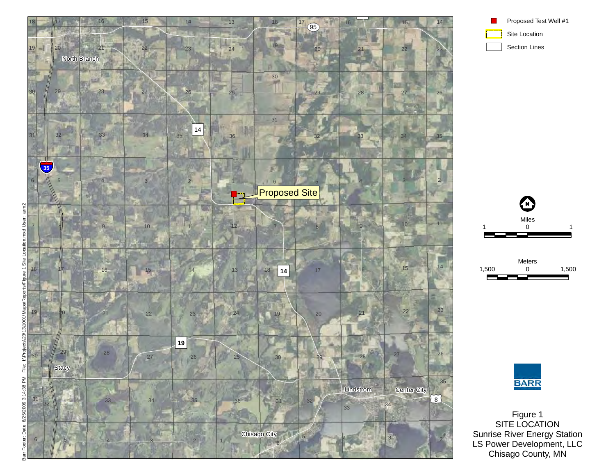







Figure 1 SITE LOCATION Sunrise River Energy Station LS Power Development, LLC Chisago County, MN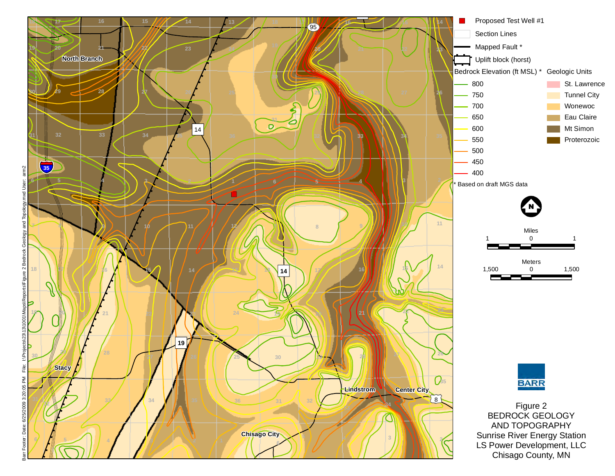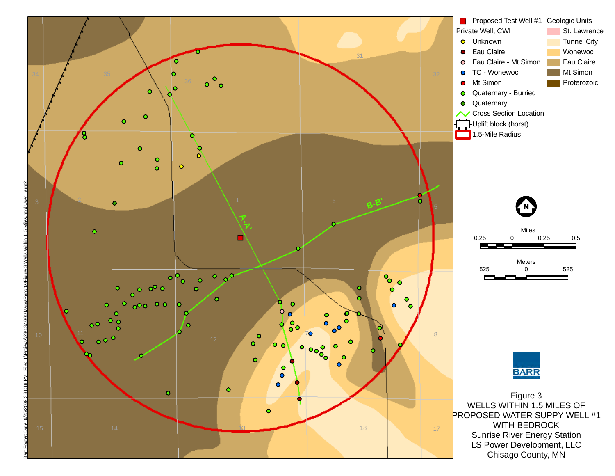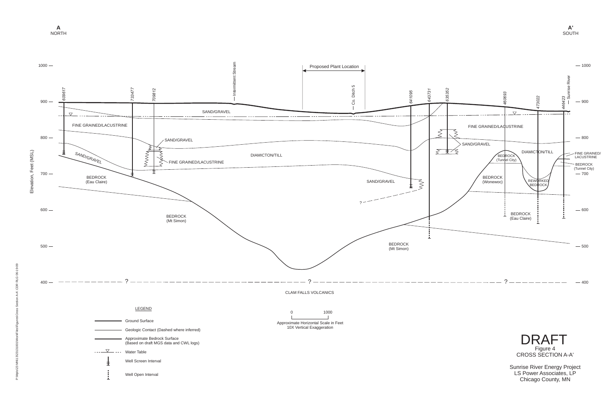Chicago County, MN



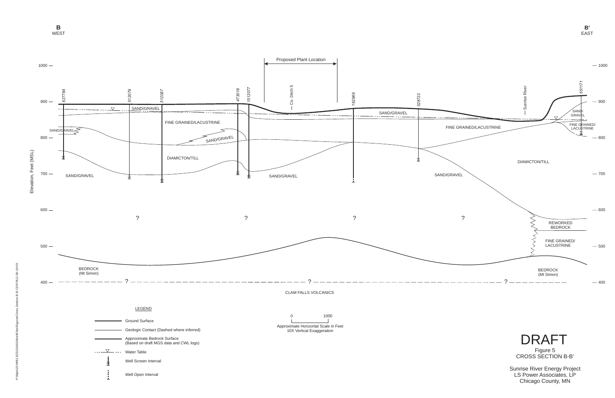LS Power Associates, LP Chicago County, MN

**B**WEST

**B'**EAST

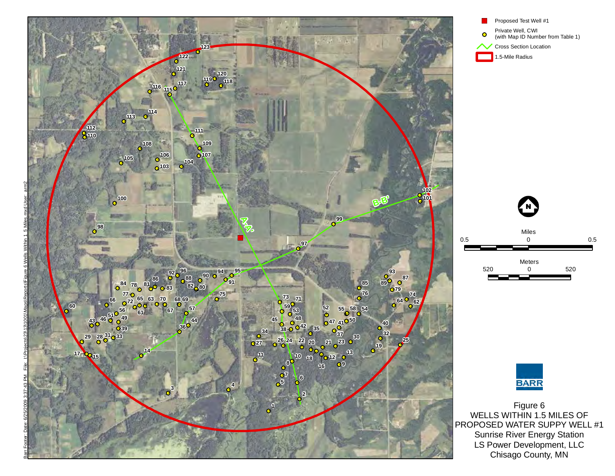









Figure 6 WELLS WITHIN 1.5 MILES OF PROPOSED WATER SUPPY WELL #1 Sunrise River Energy Station LS Power Development, LLC Chisago County, MN